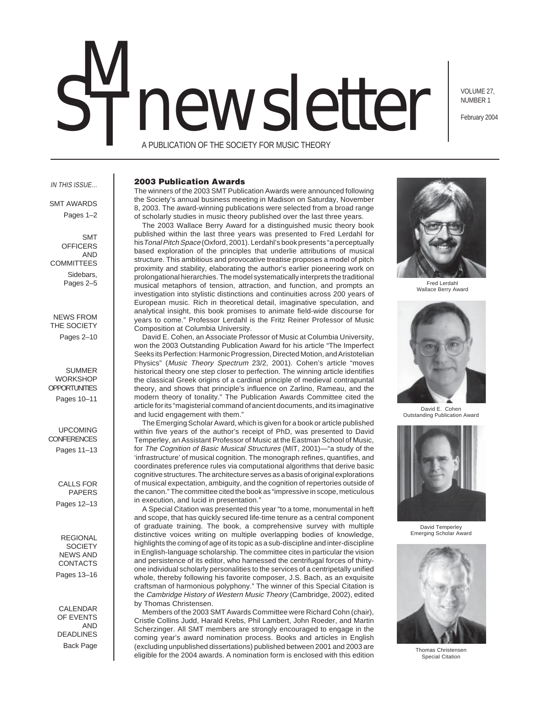# newsletter M

VOLUME 27, NUMBER 1

February 2004

A PUBLICATION OF THE SOCIETY FOR MUSIC THEORY

### IN THIS ISSUE…

SMT AWARDS Pages 1–2

SMT **OFFICERS** AND **COMMITTEES** Sidebars, Pages 2–5

NEWS FROM THE SOCIETY Pages 2–10

SUMMER **WORKSHOP OPPORTUNITIES** Pages 10–11

UPCOMING **CONFERENCES** Pages 11–13

> CALLS FOR PAPERS Pages 12–13

REGIONAL **SOCIETY** NEWS AND CONTACTS Pages 13–16

CALENDAR OF EVENTS AND DEADLINES Back Page

### **2003 Publication Awards**

The winners of the 2003 SMT Publication Awards were announced following the Society's annual business meeting in Madison on Saturday, November 8, 2003. The award-winning publications were selected from a broad range of scholarly studies in music theory published over the last three years.

The 2003 Wallace Berry Award for a distinguished music theory book published within the last three years was presented to Fred Lerdahl for hisTonal Pitch Space (Oxford, 2001). Lerdahl's book presents "a perceptually based exploration of the principles that underlie attributions of musical structure. This ambitious and provocative treatise proposes a model of pitch proximity and stability, elaborating the author's earlier pioneering work on prolongational hierarchies. The model systematically interprets the traditional musical metaphors of tension, attraction, and function, and prompts an investigation into stylistic distinctions and continuities across 200 years of European music. Rich in theoretical detail, imaginative speculation, and analytical insight, this book promises to animate field-wide discourse for years to come." Professor Lerdahl is the Fritz Reiner Professor of Music Composition at Columbia University.

David E. Cohen, an Associate Professor of Music at Columbia University, won the 2003 Outstanding Publication Award for his article "The Imperfect Seeks its Perfection: Harmonic Progression, Directed Motion, and Aristotelian Physics" (Music Theory Spectrum 23/2, 2001). Cohen's article "moves historical theory one step closer to perfection. The winning article identifies the classical Greek origins of a cardinal principle of medieval contrapuntal theory, and shows that principle's influence on Zarlino, Rameau, and the modern theory of tonality." The Publication Awards Committee cited the article for its "magisterial command of ancient documents, and its imaginative and lucid engagement with them."

The Emerging Scholar Award, which is given for a book or article published within five years of the author's receipt of PhD, was presented to David Temperley, an Assistant Professor of Music at the Eastman School of Music, for The Cognition of Basic Musical Structures (MIT, 2001)—"a study of the 'infrastructure' of musical cognition. The monograph refines, quantifies, and coordinates preference rules via computational algorithms that derive basic cognitive structures. The architecture serves as a basis of original explorations of musical expectation, ambiguity, and the cognition of repertories outside of the canon." The committee cited the book as "impressive in scope, meticulous in execution, and lucid in presentation."

A Special Citation was presented this year "to a tome, monumental in heft and scope, that has quickly secured life-time tenure as a central component of graduate training. The book, a comprehensive survey with multiple distinctive voices writing on multiple overlapping bodies of knowledge, highlights the coming of age of its topic as a sub-discipline and inter-discipline in English-language scholarship. The committee cites in particular the vision and persistence of its editor, who harnessed the centrifugal forces of thirtyone individual scholarly personalities to the services of a centripetally unified whole, thereby following his favorite composer, J.S. Bach, as an exquisite craftsman of harmonious polyphony." The winner of this Special Citation is the Cambridge History of Western Music Theory (Cambridge, 2002), edited by Thomas Christensen.

Members of the 2003 SMT Awards Committee were Richard Cohn (chair), Cristle Collins Judd, Harald Krebs, Phil Lambert, John Roeder, and Martin Scherzinger. All SMT members are strongly encouraged to engage in the coming year's award nomination process. Books and articles in English (excluding unpublished dissertations) published between 2001 and 2003 are eligible for the 2004 awards. A nomination form is enclosed with this edition



Fred Lerdahl Wallace Berry Award



David E. Cohen Outstanding Publication Award



David Temperley Emerging Scholar Award



Thomas Christensen Special Citation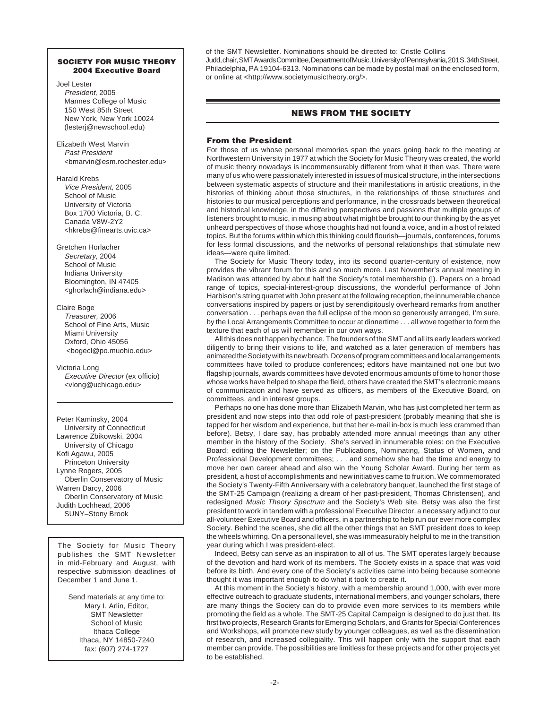# **SOCIETY FOR MUSIC THEORY 2004 Executive Board**

- Joel Lester President, 2005 Mannes College of Music 150 West 85th Street New York, New York 10024 (lesterj@newschool.edu)
- Elizabeth West Marvin Past President <bmarvin@esm.rochester.edu>
- Harald Krebs Vice President, 2005 School of Music University of Victoria Box 1700 Victoria, B. C. Canada V8W-2Y2 <hkrebs@finearts.uvic.ca>
- Gretchen Horlacher Secretary, 2004 School of Music Indiana University Bloomington, IN 47405 <ghorlach@indiana.edu>

### Claire Boge Treasurer, 2006 School of Fine Arts, Music Miami University Oxford, Ohio 45056 <bogecl@po.muohio.edu>

Victoria Long Executive Director (ex officio) <vlong@uchicago.edu>

Peter Kaminsky, 2004 University of Connecticut Lawrence Zbikowski, 2004 University of Chicago Kofi Agawu, 2005 Princeton University Lynne Rogers, 2005 Oberlin Conservatory of Music Warren Darcy, 2006 Oberlin Conservatory of Music Judith Lochhead, 2006 SUNY–Stony Brook

The Society for Music Theory publishes the SMT Newsletter in mid-February and August, with respective submission deadlines of December 1 and June 1.

Send materials at any time to: Mary I. Arlin, Editor, SMT Newsletter School of Music Ithaca College Ithaca, NY 14850-7240 fax: (607) 274-1727

of the SMT Newsletter. Nominations should be directed to: Cristle Collins Judd, chair, SMT Awards Committee, Department of Music, University of Pennsylvania, 201 S. 34th Street, Philadelphia, PA 19104-6313. Nominations can be made by postal mail on the enclosed form, or online at <http://www.societymusictheory.org/>.

# **NEWS FROM THE SOCIETY**

# **From the President**

For those of us whose personal memories span the years going back to the meeting at Northwestern University in 1977 at which the Society for Music Theory was created, the world of music theory nowadays is incommensurably different from what it then was. There were many of us who were passionately interested in issues of musical structure, in the intersections between systematic aspects of structure and their manifestations in artistic creations, in the histories of thinking about those structures, in the relationships of those structures and histories to our musical perceptions and performance, in the crossroads between theoretical and historical knowledge, in the differing perspectives and passions that multiple groups of listeners brought to music, in musing about what might be brought to our thinking by the as yet unheard perspectives of those whose thoughts had not found a voice, and in a host of related topics. But the forums within which this thinking could flourish—journals, conferences, forums for less formal discussions, and the networks of personal relationships that stimulate new ideas—were quite limited.

The Society for Music Theory today, into its second quarter-century of existence, now provides the vibrant forum for this and so much more. Last November's annual meeting in Madison was attended by about half the Society's total membership (!). Papers on a broad range of topics, special-interest-group discussions, the wonderful performance of John Harbison's string quartet with John present at the following reception, the innumerable chance conversations inspired by papers or just by serendipitously overheard remarks from another conversation . . . perhaps even the full eclipse of the moon so generously arranged, I'm sure, by the Local Arrangements Committee to occur at dinnertime . . . all wove together to form the texture that each of us will remember in our own ways.

All this does not happen by chance. The founders of the SMT and all its early leaders worked diligently to bring their visions to life, and watched as a later generation of members has animated the Society with its new breath. Dozens of program committees and local arrangements committees have toiled to produce conferences; editors have maintained not one but two flagship journals, awards committees have devoted enormous amounts of time to honor those whose works have helped to shape the field, others have created the SMT's electronic means of communication and have served as officers, as members of the Executive Board, on committees, and in interest groups.

Perhaps no one has done more than Elizabeth Marvin, who has just completed her term as president and now steps into that odd role of past-president (probably meaning that she is tapped for her wisdom and experience, but that her e-mail in-box is much less crammed than before). Betsy, I dare say, has probably attended more annual meetings than any other member in the history of the Society. She's served in innumerable roles: on the Executive Board; editing the Newsletter; on the Publications, Nominating, Status of Women, and Professional Development committees; . . . and somehow she had the time and energy to move her own career ahead and also win the Young Scholar Award. During her term as president, a host of accomplishments and new initiatives came to fruition. We commemorated the Society's Twenty-Fifth Anniversary with a celebratory banquet, launched the first stage of the SMT-25 Campaign (realizing a dream of her past-president, Thomas Christensen), and redesigned Music Theory Spectrum and the Society's Web site. Betsy was also the first president to work in tandem with a professional Executive Director, a necessary adjunct to our all-volunteer Executive Board and officers, in a partnership to help run our ever more complex Society. Behind the scenes, she did all the other things that an SMT president does to keep the wheels whirring. On a personal level, she was immeasurably helpful to me in the transition year during which I was president-elect.

Indeed, Betsy can serve as an inspiration to all of us. The SMT operates largely because of the devotion and hard work of its members. The Society exists in a space that was void before its birth. And every one of the Society's activities came into being because someone thought it was important enough to do what it took to create it.

At this moment in the Society's history, with a membership around 1,000, with ever more effective outreach to graduate students, international members, and younger scholars, there are many things the Society can do to provide even more services to its members while promoting the field as a whole. The SMT-25 Capital Campaign is designed to do just that. Its first two projects, Research Grants for Emerging Scholars, and Grants for Special Conferences and Workshops, will promote new study by younger colleagues, as well as the dissemination of research, and increased collegiality. This will happen only with the support that each member can provide. The possibilities are limitless for these projects and for other projects yet to be established.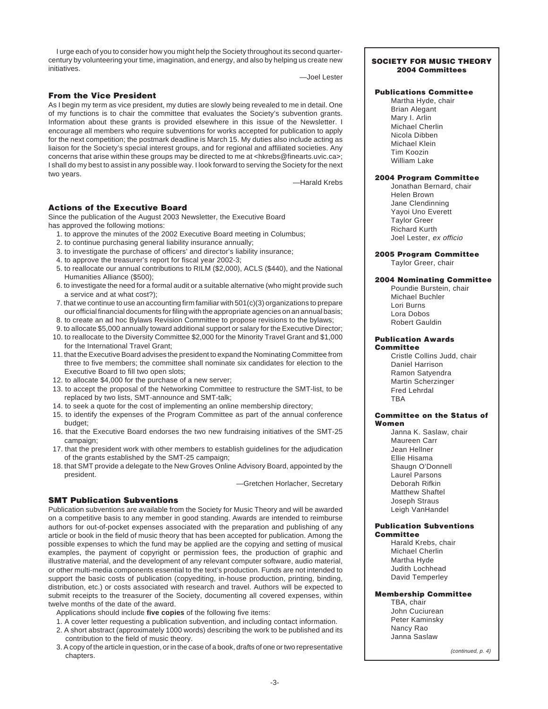I urge each of you to consider how you might help the Society throughout its second quartercentury by volunteering your time, imagination, and energy, and also by helping us create new initiatives.

—Joel Lester

# **From the Vice President**

As I begin my term as vice president, my duties are slowly being revealed to me in detail. One of my functions is to chair the committee that evaluates the Society's subvention grants. Information about these grants is provided elsewhere in this issue of the Newsletter. I encourage all members who require subventions for works accepted for publication to apply for the next competition; the postmark deadline is March 15. My duties also include acting as liaison for the Society's special interest groups, and for regional and affiliated societies. Any concerns that arise within these groups may be directed to me at <hkrebs@finearts.uvic.ca>; I shall do my best to assist in any possible way. I look forward to serving the Society for the next two years.

—Harald Krebs

# **Actions of the Executive Board**

Since the publication of the August 2003 Newsletter, the Executive Board has approved the following motions:

- 1. to approve the minutes of the 2002 Executive Board meeting in Columbus;
- 2. to continue purchasing general liability insurance annually;
- 3. to investigate the purchase of officers' and director's liability insurance;
- 4. to approve the treasurer's report for fiscal year 2002-3;
- 5. to reallocate our annual contributions to RILM (\$2,000), ACLS (\$440), and the National Humanities Alliance (\$500);
- 6. to investigate the need for a formal audit or a suitable alternative (who might provide such a service and at what cost?);
- 7. that we continue to use an accounting firm familiar with  $501(c)(3)$  organizations to prepare our official financial documents for filing with the appropriate agencies on an annual basis; 8. to create an ad hoc Bylaws Revision Committee to propose revisions to the bylaws;
- 9. to allocate \$5,000 annually toward additional support or salary for the Executive Director;
- 10. to reallocate to the Diversity Committee \$2,000 for the Minority Travel Grant and \$1,000 for the International Travel Grant;
- 11. that the Executive Board advises the president to expand the Nominating Committee from three to five members; the committee shall nominate six candidates for election to the Executive Board to fill two open slots;
- 12. to allocate \$4,000 for the purchase of a new server;
- 13. to accept the proposal of the Networking Committee to restructure the SMT-list, to be replaced by two lists, SMT-announce and SMT-talk;
- 14. to seek a quote for the cost of implementing an online membership directory;
- 15. to identify the expenses of the Program Committee as part of the annual conference budget;
- 16. that the Executive Board endorses the two new fundraising initiatives of the SMT-25 campaign;
- 17. that the president work with other members to establish guidelines for the adjudication of the grants established by the SMT-25 campaign;
- 18. that SMT provide a delegate to the New Groves Online Advisory Board, appointed by the president.

—Gretchen Horlacher, Secretary

# **SMT Publication Subventions**

Publication subventions are available from the Society for Music Theory and will be awarded on a competitive basis to any member in good standing. Awards are intended to reimburse authors for out-of-pocket expenses associated with the preparation and publishing of any article or book in the field of music theory that has been accepted for publication. Among the possible expenses to which the fund may be applied are the copying and setting of musical examples, the payment of copyright or permission fees, the production of graphic and illustrative material, and the development of any relevant computer software, audio material, or other multi-media components essential to the text's production. Funds are not intended to support the basic costs of publication (copyediting, in-house production, printing, binding, distribution, etc.) or costs associated with research and travel. Authors will be expected to submit receipts to the treasurer of the Society, documenting all covered expenses, within twelve months of the date of the award.

Applications should include **five copies** of the following five items:

- 1. A cover letter requesting a publication subvention, and including contact information.
- 2. A short abstract (approximately 1000 words) describing the work to be published and its
- contribution to the field of music theory.
- 3. A copy of the article in question, or in the case of a book, drafts of one or two representative chapters.

### **SOCIETY FOR MUSIC THEORY 2004 Committees**

# **Publications Committee**

Martha Hyde, chair Brian Alegant Mary I. Arlin Michael Cherlin Nicola Dibben Michael Klein Tim Koozin William Lake

# **2004 Program Committee**

Jonathan Bernard, chair Helen Brown Jane Clendinning Yayoi Uno Everett Taylor Greer Richard Kurth Joel Lester, ex officio

### **2005 Program Committee** Taylor Greer, chair

# **2004 Nominating Committee**

Poundie Burstein, chair Michael Buchler Lori Burns Lora Dobos Robert Gauldin

### **Publication Awards Committee**

Cristle Collins Judd, chair Daniel Harrison Ramon Satyendra Martin Scherzinger Fred Lehrdal **TRA** 

### **Committee on the Status of Women**

Janna K. Saslaw, chair Maureen Carr Jean Hellner Ellie Hisama Shaugn O'Donnell Laurel Parsons Deborah Rifkin Matthew Shaftel Joseph Straus Leigh VanHandel

### **Publication Subventions Committee**

Harald Krebs, chair Michael Cherlin Martha Hyde Judith Lochhead David Temperley

# **Membership Committee**

TBA, chair John Cuciurean Peter Kaminsky Nancy Rao Janna Saslaw

(continued, p. 4)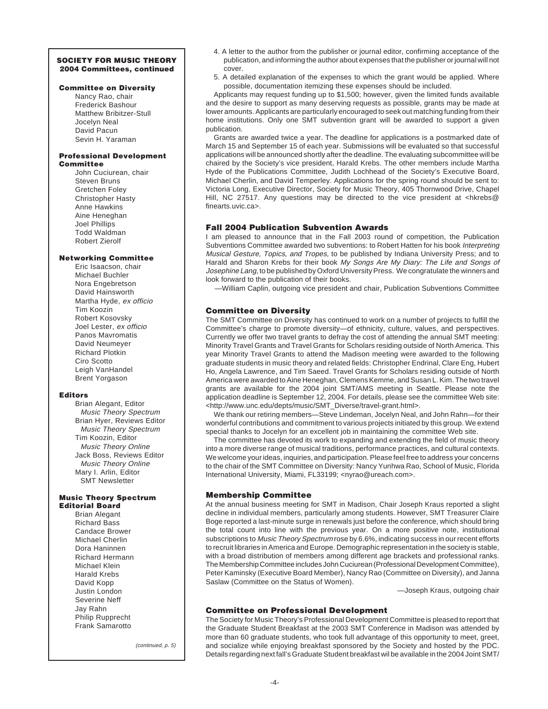# **SOCIETY FOR MUSIC THEORY 2004 Committees, continued**

# **Committee on Diversity**

Nancy Rao, chair Frederick Bashour Matthew Bribitzer-Stull Jocelyn Neal David Pacun Sevin H. Yaraman

### **Professional Development Committee**

John Cuciurean, chair Steven Bruns Gretchen Foley Christopher Hasty Anne Hawkins Aine Heneghan Joel Phillips Todd Waldman Robert Zierolf

# **Networking Committee**

Eric Isaacson, chair Michael Buchler Nora Engebretson David Hainsworth Martha Hyde, ex officio Tim Koozin Robert Kosovsky Joel Lester, ex officio Panos Mavromatis David Neumeyer Richard Plotkin Ciro Scotto Leigh VanHandel Brent Yorgason

# **Editors**

Brian Alegant, Editor Music Theory Spectrum Brian Hyer, Reviews Editor Music Theory Spectrum Tim Koozin, Editor Music Theory Online Jack Boss, Reviews Editor Music Theory Online Mary I. Arlin, Editor SMT Newsletter

### **Music Theory Spectrum Editorial Board**

Brian Alegant Richard Bass Candace Brower Michael Cherlin Dora Haninnen Richard Hermann Michael Klein Harald Krebs David Kopp Justin London Severine Neff Jay Rahn Philip Rupprecht Frank Samarotto

(continued, p. 5)

- 4. A letter to the author from the publisher or journal editor, confirming acceptance of the publication, and informing the author about expenses that the publisher or journal will not cover.
- 5. A detailed explanation of the expenses to which the grant would be applied. Where possible, documentation itemizing these expenses should be included.

Applicants may request funding up to \$1,500; however, given the limited funds available and the desire to support as many deserving requests as possible, grants may be made at lower amounts. Applicants are particularly encouraged to seek out matching funding from their home institutions. Only one SMT subvention grant will be awarded to support a given publication.

Grants are awarded twice a year. The deadline for applications is a postmarked date of March 15 and September 15 of each year. Submissions will be evaluated so that successful applications will be announced shortly after the deadline. The evaluating subcommittee will be chaired by the Society's vice president, Harald Krebs. The other members include Martha Hyde of the Publications Committee, Judith Lochhead of the Society's Executive Board, Michael Cherlin, and David Temperley. Applications for the spring round should be sent to: Victoria Long, Executive Director, Society for Music Theory, 405 Thornwood Drive, Chapel Hill, NC 27517. Any questions may be directed to the vice president at <hkrebs@ finearts.uvic.ca>.

# **Fall 2004 Publication Subvention Awards**

I am pleased to announce that in the Fall 2003 round of competition, the Publication Subventions Committee awarded two subventions: to Robert Hatten for his book Interpreting Musical Gesture, Topics, and Tropes, to be published by Indiana University Press; and to Harald and Sharon Krebs for their book My Songs Are My Diary: The Life and Songs of Josephine Lang, to be published by Oxford University Press. We congratulate the winners and look forward to the publication of their books.

—William Caplin, outgoing vice president and chair, Publication Subventions Committee

# **Committee on Diversity**

The SMT Committee on Diversity has continued to work on a number of projects to fulfill the Committee's charge to promote diversity—of ethnicity, culture, values, and perspectives. Currently we offer two travel grants to defray the cost of attending the annual SMT meeting: Minority Travel Grants and Travel Grants for Scholars residing outside of North America. This year Minority Travel Grants to attend the Madison meeting were awarded to the following graduate students in music theory and related fields: Christopher Endrinal, Clare Eng, Hubert Ho, Angela Lawrence, and Tim Saeed. Travel Grants for Scholars residing outside of North America were awarded to Aine Heneghan, Clemens Kemme, and Susan L. Kim. The two travel grants are available for the 2004 joint SMT/AMS meeting in Seattle. Please note the application deadline is September 12, 2004. For details, please see the committee Web site: <http://www.unc.edu/depts/music/SMT\_Diverse/travel-grant.html>.

We thank our retiring members—Steve Lindeman, Jocelyn Neal, and John Rahn—for their wonderful contributions and commitment to various projects initiated by this group. We extend special thanks to Jocelyn for an excellent job in maintaining the committee Web site.

The committee has devoted its work to expanding and extending the field of music theory into a more diverse range of musical traditions, performance practices, and cultural contexts. We welcome your ideas, inquiries, and participation. Please feel free to address your concerns to the chair of the SMT Committee on Diversity: Nancy Yunhwa Rao, School of Music, Florida International University, Miami, FL33199; <nyrao@ureach.com>.

# **Membership Committee**

At the annual business meeting for SMT in Madison, Chair Joseph Kraus reported a slight decline in individual members, particularly among students. However, SMT Treasurer Claire Boge reported a last-minute surge in renewals just before the conference, which should bring the total count into line with the previous year. On a more positive note, institutional subscriptions to *Music Theory Spectrum* rose by 6.6%, indicating success in our recent efforts to recruit libraries in America and Europe. Demographic representation in the society is stable, with a broad distribution of members among different age brackets and professional ranks. The Membership Committee includes John Cuciurean (Professional Development Committee), Peter Kaminsky (Executive Board Member), Nancy Rao (Committee on Diversity), and Janna Saslaw (Committee on the Status of Women).

—Joseph Kraus, outgoing chair

# **Committee on Professional Development**

The Society for Music Theory's Professional Development Committee is pleased to report that the Graduate Student Breakfast at the 2003 SMT Conference in Madison was attended by more than 60 graduate students, who took full advantage of this opportunity to meet, greet, and socialize while enjoying breakfast sponsored by the Society and hosted by the PDC. Details regarding next fall's Graduate Student breakfast wil be available in the 2004 Joint SMT/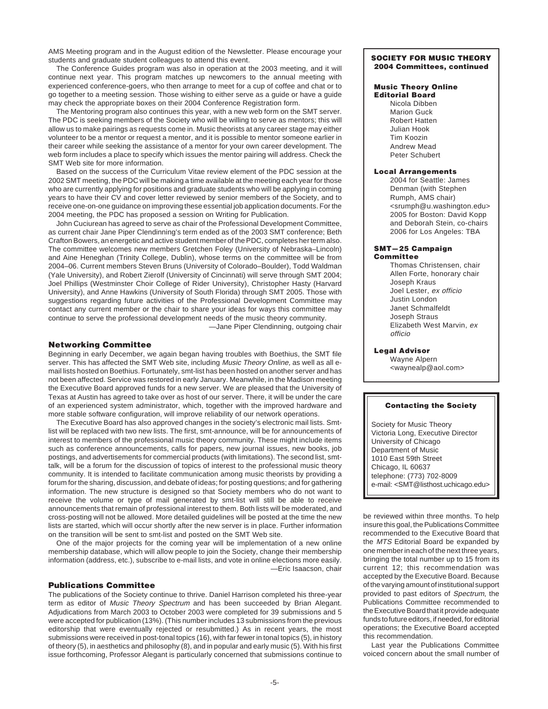AMS Meeting program and in the August edition of the Newsletter. Please encourage your students and graduate student colleagues to attend this event.

The Conference Guides program was also in operation at the 2003 meeting, and it will continue next year. This program matches up newcomers to the annual meeting with experienced conference-goers, who then arrange to meet for a cup of coffee and chat or to go together to a meeting session. Those wishing to either serve as a guide or have a guide may check the appropriate boxes on their 2004 Conference Registration form.

The Mentoring program also continues this year, with a new web form on the SMT server. The PDC is seeking members of the Society who will be willing to serve as mentors; this will allow us to make pairings as requests come in. Music theorists at any career stage may either volunteer to be a mentor or request a mentor, and it is possible to mentor someone earlier in their career while seeking the assistance of a mentor for your own career development. The web form includes a place to specify which issues the mentor pairing will address. Check the SMT Web site for more information.

Based on the success of the Curriculum Vitae review element of the PDC session at the 2002 SMT meeting, the PDC will be making a time available at the meeting each year for those who are currently applying for positions and graduate students who will be applying in coming years to have their CV and cover letter reviewed by senior members of the Society, and to receive one-on-one guidance on improving these essential job application documents. For the 2004 meeting, the PDC has proposed a session on Writing for Publication.

John Cuciurean has agreed to serve as chair of the Professional Development Committee, as current chair Jane Piper Clendinning's term ended as of the 2003 SMT conference; Beth Crafton Bowers, an energetic and active student member of the PDC, completes her term also. The committee welcomes new members Gretchen Foley (University of Nebraska–Lincoln) and Aine Heneghan (Trinity College, Dublin), whose terms on the committee will be from 2004–06. Current members Steven Bruns (University of Colorado–Boulder), Todd Waldman (Yale University), and Robert Zierolf (University of Cincinnati) will serve through SMT 2004; Joel Phillips (Westminster Choir College of Rider University), Christopher Hasty (Harvard University), and Anne Hawkins (University of South Florida) through SMT 2005. Those with suggestions regarding future activities of the Professional Development Committee may contact any current member or the chair to share your ideas for ways this committee may continue to serve the professional development needs of the music theory community.

—Jane Piper Clendinning, outgoing chair

# **Networking Committee**

Beginning in early December, we again began having troubles with Boethius, the SMT file server. This has affected the SMT Web site, including Music Theory Online, as well as all email lists hosted on Boethius. Fortunately, smt-list has been hosted on another server and has not been affected. Service was restored in early January. Meanwhile, in the Madison meeting the Executive Board approved funds for a new server. We are pleased that the University of Texas at Austin has agreed to take over as host of our server. There, it will be under the care of an experienced system administrator, which, together with the improved hardware and more stable software configuration, will improve reliability of our network operations.

The Executive Board has also approved changes in the society's electronic mail lists. Smtlist will be replaced with two new lists. The first, smt-announce, will be for announcements of interest to members of the professional music theory community. These might include items such as conference announcements, calls for papers, new journal issues, new books, job postings, and advertisements for commercial products (with limitations). The second list, smttalk, will be a forum for the discussion of topics of interest to the professional music theory community. It is intended to facilitate communication among music theorists by providing a forum for the sharing, discussion, and debate of ideas; for posting questions; and for gathering information. The new structure is designed so that Society members who do not want to receive the volume or type of mail generated by smt-list will still be able to receive announcements that remain of professional interest to them. Both lists will be moderated, and cross-posting will not be allowed. More detailed guidelines will be posted at the time the new lists are started, which will occur shortly after the new server is in place. Further information on the transition will be sent to smt-list and posted on the SMT Web site.

One of the major projects for the coming year will be implementation of a new online membership database, which will allow people to join the Society, change their membership information (address, etc.), subscribe to e-mail lists, and vote in online elections more easily. —Eric Isaacson, chair

### **Publications Committee**

The publications of the Society continue to thrive. Daniel Harrison completed his three-year term as editor of Music Theory Spectrum and has been succeeded by Brian Alegant. Adjudications from March 2003 to October 2003 were completed for 39 submissions and 5 were accepted for publication (13%). (This number includes 13 submissions from the previous editorship that were eventually rejected or resubmitted.) As in recent years, the most submissions were received in post-tonal topics (16), with far fewer in tonal topics (5), in history of theory (5), in aesthetics and philosophy (8), and in popular and early music (5). With his first issue forthcoming, Professor Alegant is particularly concerned that submissions continue to

### **SOCIETY FOR MUSIC THEORY 2004 Committees, continued**

### **Music Theory Online Editorial Board**

Nicola Dibben Marion Guck Robert Hatten Julian Hook Tim Koozin Andrew Mead Peter Schubert

### **Local Arrangements**

2004 for Seattle: James Denman (with Stephen Rumph, AMS chair) <srumph@u.washington.edu> 2005 for Boston: David Kopp and Deborah Stein, co-chairs 2006 for Los Angeles: TBA

### **SMT—25 Campaign Committee**

Thomas Christensen, chair Allen Forte, honorary chair Joseph Kraus Joel Lester, ex officio Justin London Janet Schmalfeldt Joseph Straus Elizabeth West Marvin, ex officio

# **Legal Advisor**

Wayne Alpern <waynealp@aol.com>

### **Contacting the Society**

Society for Music Theory Victoria Long, Executive Director University of Chicago Department of Music 1010 East 59th Street Chicago, IL 60637 telephone: (773) 702-8009 e-mail: <SMT@listhost.uchicago.edu>

be reviewed within three months. To help insure this goal, the Publications Committee recommended to the Executive Board that the MTS Editorial Board be expanded by one member in each of the next three years, bringing the total number up to 15 from its current 12; this recommendation was accepted by the Executive Board. Because of the varying amount of institutional support provided to past editors of Spectrum, the Publications Committee recommended to the Executive Board that it provide adequate funds to future editors, if needed, for editorial operations; the Executive Board accepted this recommendation.

Last year the Publications Committee voiced concern about the small number of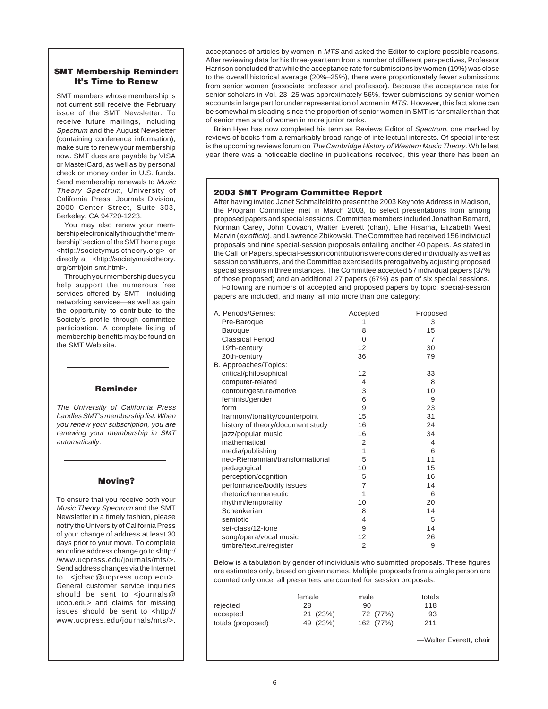# **SMT Membership Reminder: It's Time to Renew**

SMT members whose membership is not current still receive the February issue of the SMT Newsletter. To receive future mailings, including Spectrum and the August Newsletter (containing conference information), make sure to renew your membership now. SMT dues are payable by VISA or MasterCard, as well as by personal check or money order in U.S. funds. Send membership renewals to Music Theory Spectrum, University of California Press, Journals Division, 2000 Center Street, Suite 303, Berkeley, CA 94720-1223.

You may also renew your membership electronically through the "membership" section of the SMT home page <http://societymusictheory.org> or directly at <http://societymusictheory. org/smt/join-smt.html>.

Through your membership dues you help support the numerous free services offered by SMT—including networking services—as well as gain the opportunity to contribute to the Society's profile through committee participation. A complete listing of membership benefits may be found on the SMT Web site.

# **Reminder**

The University of California Press handles SMT's membership list. When you renew your subscription, you are renewing your membership in SMT automatically.

# **Moving?**

To ensure that you receive both your Music Theory Spectrum and the SMT Newsletter in a timely fashion, please notify the University of California Press of your change of address at least 30 days prior to your move. To complete an online address change go to <http:/ /www.ucpress.edu/journals/mts/>. Send address changes via the Internet to <jchad@ucpress.ucop.edu>. General customer service inquiries should be sent to <journals@ ucop.edu> and claims for missing issues should be sent to <http:// www.ucpress.edu/journals/mts/>.

acceptances of articles by women in MTS and asked the Editor to explore possible reasons. After reviewing data for his three-year term from a number of different perspectives, Professor Harrison concluded that while the acceptance rate for submissions by women (19%) was close to the overall historical average (20%–25%), there were proportionately fewer submissions from senior women (associate professor and professor). Because the acceptance rate for senior scholars in Vol. 23–25 was approximately 56%, fewer submissions by senior women accounts in large part for under representation of women in MTS. However, this fact alone can be somewhat misleading since the proportion of senior women in SMT is far smaller than that of senior men and of women in more junior ranks.

Brian Hyer has now completed his term as Reviews Editor of Spectrum, one marked by reviews of books from a remarkably broad range of intellectual interests. Of special interest is the upcoming reviews forum on The Cambridge History of Western Music Theory. While last year there was a noticeable decline in publications received, this year there has been an

# **2003 SMT Program Committee Report**

After having invited Janet Schmalfeldt to present the 2003 Keynote Address in Madison, the Program Committee met in March 2003, to select presentations from among proposed papers and special sessions. Committee members included Jonathan Bernard, Norman Carey, John Covach, Walter Everett (chair), Ellie Hisama, Elizabeth West Marvin (ex officio), and Lawrence Zbikowski. The Committee had received 156 individual proposals and nine special-session proposals entailing another 40 papers. As stated in the Call for Papers, special-session contributions were considered individually as well as session constituents, and the Committee exercised its prerogative by adjusting proposed special sessions in three instances. The Committee accepted 57 individual papers (37% of those proposed) and an additional 27 papers (67%) as part of six special sessions.

Following are numbers of accepted and proposed papers by topic; special-session papers are included, and many fall into more than one category:

| A. Periods/Genres:               | Accepted       | Proposed       |
|----------------------------------|----------------|----------------|
| Pre-Baroque                      | 1              | 3              |
| <b>Baroque</b>                   | 8              | 15             |
| <b>Classical Period</b>          | 0              | $\overline{7}$ |
| 19th-century                     | 12             | 30             |
| 20th-century                     | 36             | 79             |
| B. Approaches/Topics:            |                |                |
| critical/philosophical           | 12             | 33             |
| computer-related                 | 4              | 8              |
| contour/gesture/motive           | 3              | 10             |
| feminist/gender                  | 6              | 9              |
| form                             | 9              | 23             |
| harmony/tonality/counterpoint    | 15             | 31             |
| history of theory/document study | 16             | 24             |
| jazz/popular music               | 16             | 34             |
| mathematical                     | $\overline{2}$ | 4              |
| media/publishing                 | 1              | 6              |
| neo-Riemannian/transformational  | 5              | 11             |
| pedagogical                      | 10             | 15             |
| perception/cognition             | 5              | 16             |
| performance/bodily issues        | $\overline{7}$ | 14             |
| rhetoric/hermeneutic             | 1              | 6              |
| rhythm/temporality               | 10             | 20             |
| Schenkerian                      | 8              | 14             |
| semiotic                         | 4              | 5              |
| set-class/12-tone                | 9              | 14             |
| song/opera/vocal music           | 12             | 26             |
| timbre/texture/register          | $\overline{2}$ | 9              |

Below is a tabulation by gender of individuals who submitted proposals. These figures are estimates only, based on given names. Multiple proposals from a single person are counted only once; all presenters are counted for session proposals.

|                   | female   | male      | totals |
|-------------------|----------|-----------|--------|
| rejected          | 28       | 90        | 118    |
| accepted          | 21 (23%) | 72 (77%)  | 93     |
| totals (proposed) | 49 (23%) | 162 (77%) | 211    |

—Walter Everett, chair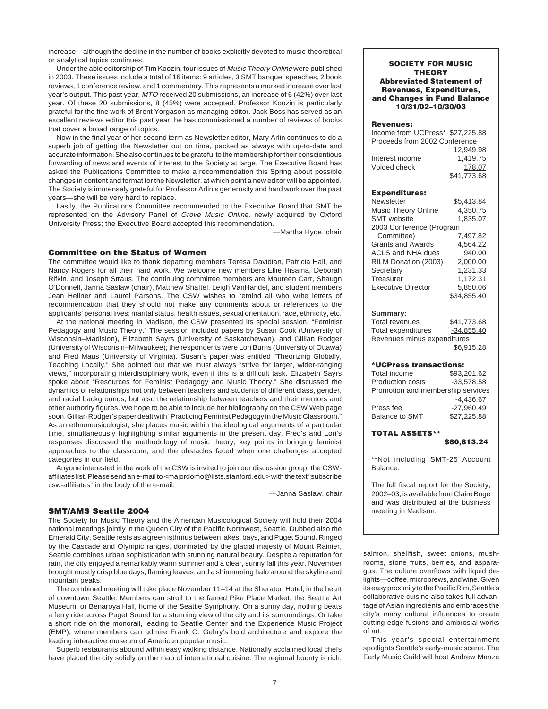increase—although the decline in the number of books explicitly devoted to music-theoretical or analytical topics continues.

Under the able editorship of Tim Koozin, four issues of Music Theory Online were published in 2003. These issues include a total of 16 items: 9 articles, 3 SMT banquet speeches, 2 book reviews, 1 conference review, and 1 commentary. This represents a marked increase over last year's output. This past year, MTO received 20 submissions, an increase of 6 (42%) over last year. Of these 20 submissions, 8 (45%) were accepted. Professor Koozin is particularly grateful for the fine work of Brent Yorgason as managing editor. Jack Boss has served as an excellent reviews editor this past year; he has commissioned a number of reviews of books that cover a broad range of topics.

Now in the final year of her second term as Newsletter editor, Mary Arlin continues to do a superb job of getting the Newsletter out on time, packed as always with up-to-date and accurate information. She also continues to be grateful to the membership for their conscientious forwarding of news and events of interest to the Society at large. The Executive Board has asked the Publications Committee to make a recommendation this Spring about possible changes in content and format for the Newsletter, at which point a new editor will be appointed. The Society is immensely grateful for Professor Arlin's generosity and hard work over the past years—she will be very hard to replace.

Lastly, the Publications Committee recommended to the Executive Board that SMT be represented on the Advisory Panel of Grove Music Online, newly acquired by Oxford University Press; the Executive Board accepted this recommendation.

—Martha Hyde, chair

### **Committee on the Status of Women**

The committee would like to thank departing members Teresa Davidian, Patricia Hall, and Nancy Rogers for all their hard work. We welcome new members Ellie Hisama, Deborah Rifkin, and Joseph Straus. The continuing committee members are Maureen Carr, Shaugn O'Donnell, Janna Saslaw (chair), Matthew Shaftel, Leigh VanHandel, and student members Jean Hellner and Laurel Parsons. The CSW wishes to remind all who write letters of recommendation that they should not make any comments about or references to the applicants' personal lives: marital status, health issues, sexual orientation, race, ethnicity, etc.

At the national meeting in Madison, the CSW presented its special session, "Feminist Pedagogy and Music Theory." The session included papers by Susan Cook (University of Wisconsin–Madision), Elizabeth Sayrs (University of Saskatchewan), and Gillian Rodger (University of Wisconsin–Milwaukee); the respondents were Lori Burns (University of Ottawa) and Fred Maus (University of Virginia). Susan's paper was entitled "Theorizing Globally, Teaching Locally." She pointed out that we must always "strive for larger, wider-ranging views," incorporating interdisciplinary work, even if this is a difficult task. Elizabeth Sayrs spoke about "Resources for Feminist Pedagogy and Music Theory." She discussed the dynamics of relationships not only between teachers and students of different class, gender, and racial backgrounds, but also the relationship between teachers and their mentors and other authority figures. We hope to be able to include her bibliography on the CSW Web page soon. Gillian Rodger's paper dealt with "Practicing Feminist Pedagogy in the Music Classroom." As an ethnomusicologist, she places music within the ideological arguments of a particular time, simultaneously highlighting similar arguments in the present day. Fred's and Lori's responses discussed the methodology of music theory, key points in bringing feminist approaches to the classroom, and the obstacles faced when one challenges accepted categories in our field.

Anyone interested in the work of the CSW is invited to join our discussion group, the CSWaffiliates list. Please send an e-mail to <majordomo@lists.stanford.edu> with the text "subscribe" csw-affiliates" in the body of the e-mail.

—Janna Saslaw, chair

### **SMT/AMS Seattle 2004**

The Society for Music Theory and the American Musicological Society will hold their 2004 national meetings jointly in the Queen City of the Pacific Northwest, Seattle. Dubbed also the Emerald City, Seattle rests as a green isthmus between lakes, bays, and Puget Sound. Ringed by the Cascade and Olympic ranges, dominated by the glacial majesty of Mount Rainier, Seattle combines urban sophistication with stunning natural beauty. Despite a reputation for rain, the city enjoyed a remarkably warm summer and a clear, sunny fall this year. November brought mostly crisp blue days, flaming leaves, and a shimmering halo around the skyline and mountain peaks.

The combined meeting will take place November 11–14 at the Sheraton Hotel, in the heart of downtown Seattle. Members can stroll to the famed Pike Place Market, the Seattle Art Museum, or Benaroya Hall, home of the Seattle Symphony. On a sunny day, nothing beats a ferry ride across Puget Sound for a stunning view of the city and its surroundings. Or take a short ride on the monorail, leading to Seattle Center and the Experience Music Project (EMP), where members can admire Frank O. Gehry's bold architecture and explore the leading interactive museum of American popular music.

Superb restaurants abound within easy walking distance. Nationally acclaimed local chefs have placed the city solidly on the map of international cuisine. The regional bounty is rich:

### **SOCIETY FOR MUSIC THEORY Abbreviated Statement of Revenues, Expenditures, and Changes in Fund Balance 10/31/02–10/30/03**

### **Revenues:**

| Income from UCPress* \$27,225.88 |             |
|----------------------------------|-------------|
| Proceeds from 2002 Conference    |             |
|                                  | 12.949.98   |
| Interest income                  | 1.419.75    |
| Voided check                     | 178.07      |
|                                  | \$41,773.68 |

### **Expenditures:**

| Newsletter                 | \$5.413.84  |
|----------------------------|-------------|
| <b>Music Theory Online</b> | 4.350.75    |
| <b>SMT</b> website         | 1,835.07    |
| 2003 Conference (Program   |             |
| Committee)                 | 7.497.82    |
| <b>Grants and Awards</b>   | 4.564.22    |
| ACLS and NHA dues          | 940.00      |
| RILM Donation (2003)       | 2.000.00    |
| Secretary                  | 1.231.33    |
| Treasurer                  | 1,172.31    |
| <b>Executive Director</b>  | 5.850.06    |
|                            | \$34.855.40 |

### **Summary:**

Total revenues \$41,773.68 Total expenditures -34,855.40 Revenues minus expenditures \$6,915.28

### **\*UCPress transactions:**

| Total income                      | \$93.201.62  |
|-----------------------------------|--------------|
| <b>Production costs</b>           | $-33.578.58$ |
| Promotion and membership services |              |
|                                   | $-4.436.67$  |
| Press fee                         | $-27.960.49$ |
| <b>Balance to SMT</b>             | \$27.225.88  |
|                                   |              |

# **TOTAL ASSETS\*\***

**\$80,813.24**

\*\*Not including SMT-25 Account Balance.

The full fiscal report for the Society, 2002–03, is available from Claire Boge and was distributed at the business meeting in Madison.

salmon, shellfish, sweet onions, mushrooms, stone fruits, berries, and asparagus. The culture overflows with liquid delights—coffee, microbrews, and wine. Given its easy proximity to the Pacific Rim, Seattle's collaborative cuisine also takes full advantage of Asian ingredients and embraces the city's many cultural influences to create cutting-edge fusions and ambrosial works of art.

This year's special entertainment spotlights Seattle's early-music scene. The Early Music Guild will host Andrew Manze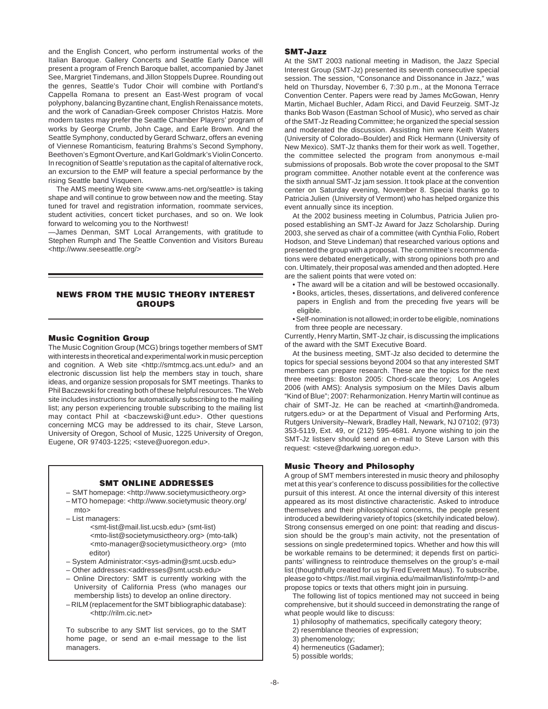and the English Concert, who perform instrumental works of the Italian Baroque. Gallery Concerts and Seattle Early Dance will present a program of French Baroque ballet, accompanied by Janet See, Margriet Tindemans, and Jillon Stoppels Dupree. Rounding out the genres, Seattle's Tudor Choir will combine with Portland's Cappella Romana to present an East-West program of vocal polyphony, balancing Byzantine chant, English Renaissance motets, and the work of Canadian-Greek composer Christos Hatzis. More modern tastes may prefer the Seattle Chamber Players' program of works by George Crumb, John Cage, and Earle Brown. And the Seattle Symphony, conducted by Gerard Schwarz, offers an evening of Viennese Romanticism, featuring Brahms's Second Symphony, Beethoven's Egmont Overture, and Karl Goldmark's Violin Concerto. In recognition of Seattle's reputation as the capital of alternative rock, an excursion to the EMP will feature a special performance by the rising Seattle band Visqueen.

The AMS meeting Web site <www.ams-net.org/seattle> is taking shape and will continue to grow between now and the meeting. Stay tuned for travel and registration information, roommate services, student activities, concert ticket purchases, and so on. We look forward to welcoming you to the Northwest!

—James Denman, SMT Local Arrangements, with gratitude to Stephen Rumph and The Seattle Convention and Visitors Bureau <http://www.seeseattle.org/>

# **NEWS FROM THE MUSIC THEORY INTEREST GROUPS**

# **Music Cognition Group**

The Music Cognition Group (MCG) brings together members of SMT with interests in theoretical and experimental work in music perception and cognition. A Web site <http://smtmcg.acs.unt.edu/> and an electronic discussion list help the members stay in touch, share ideas, and organize session proposals for SMT meetings. Thanks to Phil Baczewski for creating both of these helpful resources. The Web site includes instructions for automatically subscribing to the mailing list; any person experiencing trouble subscribing to the mailing list may contact Phil at <baczewski@unt.edu>. Other questions concerning MCG may be addressed to its chair, Steve Larson, University of Oregon, School of Music, 1225 University of Oregon, Eugene, OR 97403-1225; <steve@uoregon.edu>.

### **SMT ONLINE ADDRESSES**

- SMT homepage: <http://www.societymusictheory.org> – MTO homepage: <http://www.societymusic theory.org/ mto>
- List managers:
	- <smt-list@mail.list.ucsb.edu> (smt-list) <mto-list@societymusictheory.org> (mto-talk) <mto-manager@societymusictheory.org> (mto editor)
- System Administrator:<sys-admin@smt.ucsb.edu>
- Other addresses:<addresses@smt.ucsb.edu>
- Online Directory: SMT is currently working with the University of California Press (who manages our membership lists) to develop an online directory.
- RILM (replacement for the SMT bibliographic database): <http://rilm.cic.net>

To subscribe to any SMT list services, go to the SMT home page, or send an e-mail message to the list managers.

### **SMT-Jazz**

At the SMT 2003 national meeting in Madison, the Jazz Special Interest Group (SMT-Jz) presented its seventh consecutive special session. The session, "Consonance and Dissonance in Jazz," was held on Thursday, November 6, 7:30 p.m., at the Monona Terrace Convention Center. Papers were read by James McGowan, Henry Martin, Michael Buchler, Adam Ricci, and David Feurzeig. SMT-Jz thanks Bob Wason (Eastman School of Music), who served as chair of the SMT-Jz Reading Committee; he organized the special session and moderated the discussion. Assisting him were Keith Waters (University of Colorado–Boulder) and Rick Hermann (University of New Mexico). SMT-Jz thanks them for their work as well. Together, the committee selected the program from anonymous e-mail submissions of proposals. Bob wrote the cover proposal to the SMT program committee. Another notable event at the conference was the sixth annual SMT-Jz jam session. It took place at the convention center on Saturday evening, November 8. Special thanks go to Patricia Julien (University of Vermont) who has helped organize this event annually since its inception.

At the 2002 business meeting in Columbus, Patricia Julien proposed establishing an SMT-Jz Award for Jazz Scholarship. During 2003, she served as chair of a committee (with Cynthia Folio, Robert Hodson, and Steve Lindeman) that researched various options and presented the group with a proposal. The committee's recommendations were debated energetically, with strong opinions both pro and con. Ultimately, their proposal was amended and then adopted. Here are the salient points that were voted on:

- The award will be a citation and will be bestowed occasionally.
- Books, articles, theses, dissertations, and delivered conference papers in English and from the preceding five years will be eligible.
- Self-nomination is not allowed; in order to be eligible, nominations from three people are necessary.

Currently, Henry Martin, SMT-Jz chair, is discussing the implications of the award with the SMT Executive Board.

At the business meeting, SMT-Jz also decided to determine the topics for special sessions beyond 2004 so that any interested SMT members can prepare research. These are the topics for the next three meetings: Boston 2005: Chord-scale theory; Los Angeles 2006 (with AMS): Analysis symposium on the Miles Davis album "Kind of Blue"; 2007: Reharmonization. Henry Martin will continue as chair of SMT-Jz. He can be reached at <martinh@andromeda. rutgers.edu> or at the Department of Visual and Performing Arts, Rutgers University–Newark, Bradley Hall, Newark, NJ 07102; (973) 353-5119, Ext. 49, or (212) 595-4681. Anyone wishing to join the SMT-Jz listserv should send an e-mail to Steve Larson with this request: <steve@darkwing.uoregon.edu>.

# **Music Theory and Philosophy**

A group of SMT members interested in music theory and philosophy met at this year's conference to discuss possibilities for the collective pursuit of this interest. At once the internal diversity of this interest appeared as its most distinctive characteristic. Asked to introduce themselves and their philosophical concerns, the people present introduced a bewildering variety of topics (sketchily indicated below). Strong consensus emerged on one point: that reading and discussion should be the group's main activity, not the presentation of sessions on single predetermined topics. Whether and how this will be workable remains to be determined; it depends first on participants' willingness to reintroduce themselves on the group's e-mail list (thoughtfully created for us by Fred Everett Maus). To subscribe, please go to <https://list.mail.virginia.edu/mailman/listinfo/mtp-l> and propose topics or texts that others might join in pursuing.

The following list of topics mentioned may not succeed in being comprehensive, but it should succeed in demonstrating the range of what people would like to discuss:

- 1) philosophy of mathematics, specifically category theory;
- 2) resemblance theories of expression;
- 3) phenomenology;
- 4) hermeneutics (Gadamer);
- 5) possible worlds;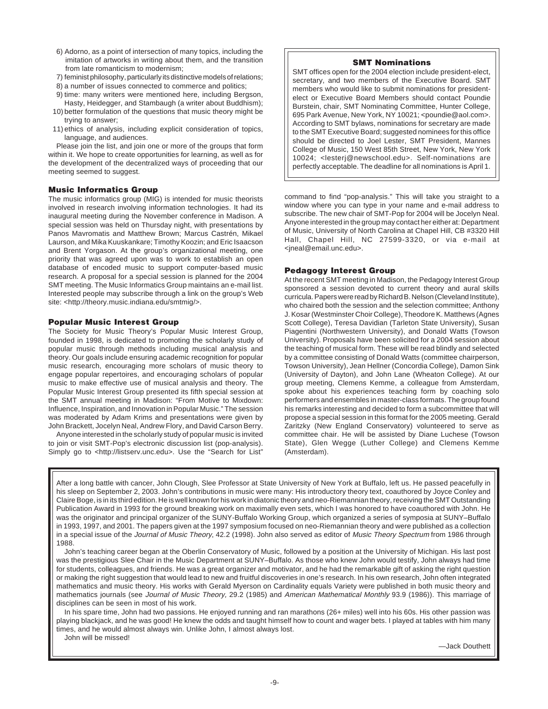- 6) Adorno, as a point of intersection of many topics, including the imitation of artworks in writing about them, and the transition from late romanticism to modernism;
- 7) feminist philosophy, particularly its distinctive models of relations;
- 8) a number of issues connected to commerce and politics;
- 9) time: many writers were mentioned here, including Bergson,

Hasty, Heidegger, and Stambaugh (a writer about Buddhism); 10) better formulation of the questions that music theory might be trying to answer;

11) ethics of analysis, including explicit consideration of topics, language, and audiences.

Please join the list, and join one or more of the groups that form within it. We hope to create opportunities for learning, as well as for the development of the decentralized ways of proceeding that our meeting seemed to suggest.

### **Music Informatics Group**

The music informatics group (MIG) is intended for music theorists involved in research involving information technologies. It had its inaugural meeting during the November conference in Madison. A special session was held on Thursday night, with presentations by Panos Mavromatis and Matthew Brown; Marcus Castrén, Mikael Laurson, and Mika Kuuskankare; Timothy Koozin; and Eric Isaacson and Brent Yorgason. At the group's organizational meeting, one priority that was agreed upon was to work to establish an open database of encoded music to support computer-based music research. A proposal for a special session is planned for the 2004 SMT meeting. The Music Informatics Group maintains an e-mail list. Interested people may subscribe through a link on the group's Web site: <http://theory.music.indiana.edu/smtmig/>.

### **Popular Music Interest Group**

The Society for Music Theory's Popular Music Interest Group, founded in 1998, is dedicated to promoting the scholarly study of popular music through methods including musical analysis and theory. Our goals include ensuring academic recognition for popular music research, encouraging more scholars of music theory to engage popular repertoires, and encouraging scholars of popular music to make effective use of musical analysis and theory. The Popular Music Interest Group presented its fifth special session at the SMT annual meeting in Madison: "From Motive to Mixdown: Influence, Inspiration, and Innovation in Popular Music." The session was moderated by Adam Krims and presentations were given by John Brackett, Jocelyn Neal, Andrew Flory, and David Carson Berry.

Anyone interested in the scholarly study of popular music is invited to join or visit SMT-Pop's electronic discussion list (pop-analysis). Simply go to <http://listserv.unc.edu>. Use the "Search for List"

## **SMT Nominations**

SMT offices open for the 2004 election include president-elect, secretary, and two members of the Executive Board. SMT members who would like to submit nominations for presidentelect or Executive Board Members should contact Poundie Burstein, chair, SMT Nominating Committee, Hunter College, 695 Park Avenue, New York, NY 10021; <poundie@aol.com>. According to SMT bylaws, nominations for secretary are made to the SMT Executive Board; suggested nominees for this office should be directed to Joel Lester, SMT President, Mannes College of Music, 150 West 85th Street, New York, New York 10024; <lesterj@newschool.edu>. Self-nominations are perfectly acceptable. The deadline for all nominations is April 1.

command to find "pop-analysis." This will take you straight to a window where you can type in your name and e-mail address to subscribe. The new chair of SMT-Pop for 2004 will be Jocelyn Neal. Anyone interested in the group may contact her either at: Department of Music, University of North Carolina at Chapel Hill, CB #3320 Hill Hall, Chapel Hill, NC 27599-3320, or via e-mail at <jneal@email.unc.edu>.

### **Pedagogy Interest Group**

At the recent SMT meeting in Madison, the Pedagogy Interest Group sponsored a session devoted to current theory and aural skills curricula. Papers were read by Richard B. Nelson (Cleveland Institute), who chaired both the session and the selection committee; Anthony J. Kosar (Westminster Choir College), Theodore K. Matthews (Agnes Scott College), Teresa Davidian (Tarleton State University), Susan Piagentini (Northwestern University), and Donald Watts (Towson University). Proposals have been solicited for a 2004 session about the teaching of musical form. These will be read blindly and selected by a committee consisting of Donald Watts (committee chairperson, Towson University), Jean Hellner (Concordia College), Damon Sink (University of Dayton), and John Lane (Wheaton College). At our group meeting, Clemens Kemme, a colleague from Amsterdam, spoke about his experiences teaching form by coaching solo performers and ensembles in master-class formats. The group found his remarks interesting and decided to form a subcommittee that will propose a special session in this format for the 2005 meeting. Gerald Zaritzky (New England Conservatory) volunteered to serve as committee chair. He will be assisted by Diane Luchese (Towson State), Glen Wegge (Luther College) and Clemens Kemme (Amsterdam).

After a long battle with cancer, John Clough, Slee Professor at State University of New York at Buffalo, left us. He passed peacefully in his sleep on September 2, 2003. John's contributions in music were many: His introductory theory text, coauthored by Joyce Conley and Claire Boge, is in its third edition. He is well known for his work in diatonic theory and neo-Riemannian theory, receiving theSMT Outstanding Publication Award in 1993 for the ground breaking work on maximally even sets, which I was honored to have coauthored with John. He was the originator and principal organizer of the SUNY-Buffalo Working Group, which organized a series of symposia at SUNY–Buffalo in 1993, 1997, and 2001. The papers given at the 1997 symposium focused on neo-Riemannian theory and were published as a collection in a special issue of the Journal of Music Theory, 42.2 (1998). John also served as editor of Music Theory Spectrum from 1986 through 1988.

John's teaching career began at the Oberlin Conservatory of Music, followed by a position at the University of Michigan. His last post was the prestigious Slee Chair in the Music Department at SUNY–Buffalo. As those who knew John would testify, John always had time for students, colleagues, and friends. He was a great organizer and motivator, and he had the remarkable gift of asking the right question or making the right suggestion that would lead to new and fruitful discoveries in one's research. In his own research, John often integrated mathematics and music theory. His works with Gerald Myerson on Cardinality equals Variety were published in both music theory and mathematics journals (see Journal of Music Theory, 29.2 (1985) and American Mathematical Monthly 93.9 (1986)). This marriage of disciplines can be seen in most of his work.

In his spare time, John had two passions. He enjoyed running and ran marathons (26+ miles) well into his 60s. His other passion was playing blackjack, and he was good! He knew the odds and taught himself how to count and wager bets. I played at tables with him many times, and he would almost always win. Unlike John, I almost always lost.

John will be missed!

—Jack Douthett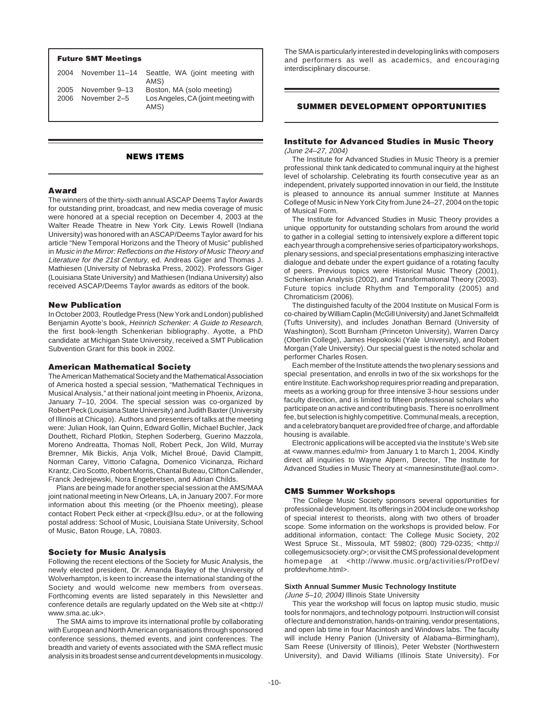### **Future SMT Meetings**

| 2004 | November 11–14 | Seattle, WA (joint meeting with<br>AMS)     |
|------|----------------|---------------------------------------------|
| 2005 | November 9-13  | Boston, MA (solo meeting)                   |
| 2006 | November 2–5   | Los Angeles, CA (joint meeting with<br>AMS) |

# **NEWS ITEMS**

### **Award**

The winners of the thirty-sixth annual ASCAP Deems Taylor Awards for outstanding print, broadcast, and new media coverage of music were honored at a special reception on December 4, 2003 at the Walter Reade Theatre in New York City. Lewis Rowell (Indiana University) was honored with an ASCAP/Deems Taylor award for his article "New Temporal Horizons and the Theory of Music" published in Music in the Mirror: Reflections on the History of Music Theory and Literature for the 21st Century, ed. Andreas Giger and Thomas J. Mathiesen (University of Nebraska Press, 2002). Professors Giger (Louisiana State University) and Mathiesen (Indiana University) also received ASCAP/Deems Taylor awards as editors of the book.

### **New Publication**

In October 2003, Routledge Press (New York and London) published Benjamin Ayotte's book, Heinrich Schenker: A Guide to Research, the first book-length Schenkerian bibliography. Ayotte, a PhD candidate at Michigan State University, received a SMT Publication Subvention Grant for this book in 2002.

### **American Mathematical Society**

The American Mathematical Society and the Mathematical Association of America hosted a special session, "Mathematical Techniques in Musical Analysis," at their national joint meeting in Phoenix, Arizona, January 7–10, 2004. The special session was co-organized by Robert Peck (Louisiana State University) and Judith Baxter (University of Illinois at Chicago). Authors and presenters of talks at the meeting were: Julian Hook, Ian Quinn, Edward Gollin, Michael Buchler, Jack Douthett, Richard Plotkin, Stephen Soderberg, Guerino Mazzola, Moreno Andreatta, Thomas Noll, Robert Peck, Jon Wild, Murray Bremner, Mik Bickis, Anja Volk, Michel Broué, David Clampitt, Norman Carey, Vittorio Cafagna, Domenico Vicinanza, Richard Krantz, Ciro Scotto, Robert Morris, Chantal Buteau, Clifton Callender, Franck Jedrejewski, Nora Engebretsen, and Adrian Childs.

Plans are being made for another special session at the AMS/MAA joint national meeting in New Orleans, LA, in January 2007. For more information about this meeting (or the Phoenix meeting), please contact Robert Peck either at <rpeck@lsu.edu>, or at the following postal address: School of Music, Louisiana State University, School of Music, Baton Rouge, LA, 70803.

### **Society for Music Analysis**

Following the recent elections of the Society for Music Analysis, the newly elected president, Dr. Amanda Bayley of the University of Wolverhampton, is keen to increase the international standing of the Society and would welcome new members from overseas. Forthcoming events are listed separately in this Newsletter and conference details are regularly updated on the Web site at <http:// www.sma.ac.uk>.

The SMA aims to improve its international profile by collaborating with European and North American organisations through sponsored conference sessions, themed events, and joint conferences. The breadth and variety of events associated with the SMA reflect music analysis in its broadest sense and current developments in musicology.

The SMA is particularly interested in developing links with composers and performers as well as academics, and encouraging interdisciplinary discourse.

# **SUMMER DEVELOPMENT OPPORTUNITIES**

### **Institute for Advanced Studies in Music Theory** (June 24–27, 2004)

The Institute for Advanced Studies in Music Theory is a premier professional think tank dedicated to communal inquiry at the highest level of scholarship. Celebrating its fourth consecutive year as an independent, privately supported innovation in our field, the Institute is pleased to announce its annual summer Institute at Mannes College of Music in New York City from June 24–27, 2004 on the topic of Musical Form.

The Institute for Advanced Studies in Music Theory provides a unique opportunity for outstanding scholars from around the world to gather in a collegial setting to intensively explore a different topic each year through a comprehensive series of participatory workshops, plenary sessions, and special presentations emphasizing interactive dialogue and debate under the expert guidance of a rotating faculty of peers. Previous topics were Historical Music Theory (2001), Schenkerian Analysis (2002), and Transformational Theory (2003). Future topics include Rhythm and Temporality (2005) and Chromaticism (2006).

The distinguished faculty of the 2004 Institute on Musical Form is co-chaired by William Caplin (McGill University) and Janet Schmalfeldt (Tufts University), and includes Jonathan Bernard (University of Washington), Scott Burnham (Princeton University), Warren Darcy (Oberlin College), James Hepokoski (Yale University), and Robert Morgan (Yale University). Our special guest is the noted scholar and performer Charles Rosen.

Each member of the Institute attends the two plenary sessions and special presentation, and enrolls in two of the six workshops for the entire Institute. Each workshop requires prior reading and preparation, meets as a working group for three intensive 3-hour sessions under faculty direction, and is limited to fifteen professional scholars who participate on an active and contributing basis. There is no enrollment fee, but selection is highly competitive. Communal meals, a reception, and a celebratory banquet are provided free of charge, and affordable housing is available.

Electronic applications will be accepted via the Institute's Web site at <www.mannes.edu/mi> from January 1 to March 1, 2004. Kindly direct all inquiries to Wayne Alpern, Director, The Institute for Advanced Studies in Music Theory at <mannesinstitute@aol.com>.

### **CMS Summer Workshops**

The College Music Society sponsors several opportunities for professional development. Its offerings in 2004 include one workshop of special interest to theorists, along with two others of broader scope. Some information on the workshops is provided below. For additional information, contact: The College Music Society, 202 West Spruce St., Missoula, MT 59802; (800) 729-0235; <http:// collegemusicsociety.org/>; or visit the CMS professional development homepage at <http://www.music.org/activities/ProfDev/ profdevhome.html>.

# **Sixth Annual Summer Music Technology Institute**

(June 5–10, 2004) Illinois State University

This year the workshop will focus on laptop music studio, music tools for nonmajors, and technology potpourri. Instruction will consist of lecture and demonstration, hands-on training, vendor presentations, and open lab time in four Macintosh and Windows labs. The faculty will include Henry Panion (University of Alabama–Birmingham), Sam Reese (University of Illinois), Peter Webster (Northwestern University), and David Williams (Illinois State University). For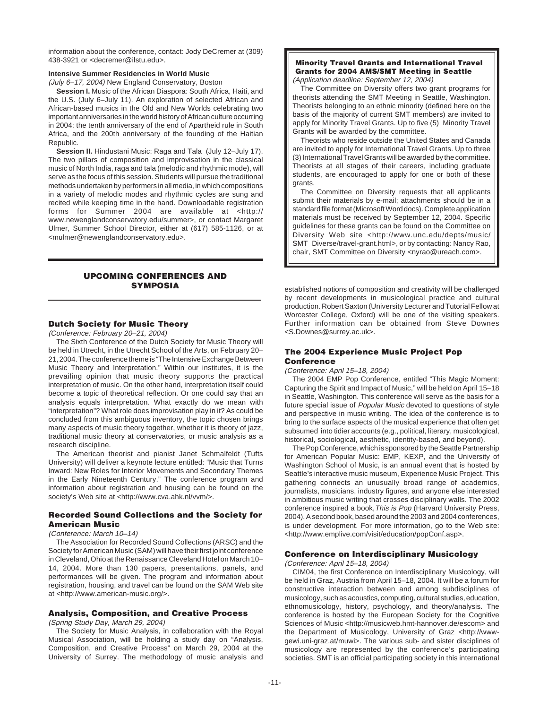information about the conference, contact: Jody DeCremer at (309) 438-3921 or <decremer@ilstu.edu>.

# **Intensive Summer Residencies in World Music**

(July 6–17, 2004) New England Conservatory, Boston

**Session I.** Music of the African Diaspora: South Africa, Haiti, and the U.S. (July 6–July 11). An exploration of selected African and African-based musics in the Old and New Worlds celebrating two important anniversaries in the world history of African culture occurring in 2004: the tenth anniversary of the end of Apartheid rule in South Africa, and the 200th anniversary of the founding of the Haitian Republic.

**Session II.** Hindustani Music: Raga and Tala (July 12–July 17). The two pillars of composition and improvisation in the classical music of North India, raga and tala (melodic and rhythmic mode), will serve as the focus of this session. Students will pursue the traditional methods undertaken by performers in all media, in which compositions in a variety of melodic modes and rhythmic cycles are sung and recited while keeping time in the hand. Downloadable registration forms for Summer 2004 are available at <http:// www.newenglandconservatory.edu/summer>, or contact Margaret Ulmer, Summer School Director, either at (617) 585-1126, or at <mulmer@newenglandconservatory.edu>.

# **UPCOMING CONFERENCES AND SYMPOSIA**

# **Dutch Society for Music Theory**

(Conference: February 20–21, 2004)

The Sixth Conference of the Dutch Society for Music Theory will be held in Utrecht, in the Utrecht School of the Arts, on February 20– 21, 2004. The conference theme is "The Intensive Exchange Between Music Theory and Interpretation." Within our institutes, it is the prevailing opinion that music theory supports the practical interpretation of music. On the other hand, interpretation itself could become a topic of theoretical reflection. Or one could say that an analysis equals interpretation. What exactly do we mean with "interpretation"? What role does improvisation play in it? As could be concluded from this ambiguous inventory, the topic chosen brings many aspects of music theory together, whether it is theory of jazz, traditional music theory at conservatories, or music analysis as a research discipline.

The American theorist and pianist Janet Schmalfeldt (Tufts University) will deliver a keynote lecture entitled: "Music that Turns Inward: New Roles for Interior Movements and Secondary Themes in the Early Nineteenth Century." The conference program and information about registration and housing can be found on the society's Web site at <http://www.cva.ahk.nl/vvm/>.

### **Recorded Sound Collections and the Society for American Music**

### (Conference: March 10–14)

The Association for Recorded Sound Collections (ARSC) and the Society for American Music (SAM) will have their first joint conference in Cleveland, Ohio at the Renaissance Cleveland Hotel on March 10– 14, 2004. More than 130 papers, presentations, panels, and performances will be given. The program and information about registration, housing, and travel can be found on the SAM Web site at <http://www.american-music.org/>.

### **Analysis, Composition, and Creative Process**

(Spring Study Day, March 29, 2004)

The Society for Music Analysis, in collaboration with the Royal Musical Association, will be holding a study day on "Analysis, Composition, and Creative Process" on March 29, 2004 at the University of Surrey. The methodology of music analysis and

### **Minority Travel Grants and International Travel Grants for 2004 AMS/SMT Meeting in Seattle** (Application deadline: September 12, 2004)

The Committee on Diversity offers two grant programs for theorists attending the SMT Meeting in Seattle, Washington. Theorists belonging to an ethnic minority (defined here on the basis of the majority of current SMT members) are invited to apply for Minority Travel Grants. Up to five (5) Minority Travel Grants will be awarded by the committee.

Theorists who reside outside the United States and Canada are invited to apply for International Travel Grants. Up to three (3) International Travel Grants will be awarded by the committee. Theorists at all stages of their careers, including graduate students, are encouraged to apply for one or both of these grants.

The Committee on Diversity requests that all applicants submit their materials by e-mail; attachments should be in a standard file format (Microsoft Word docs). Complete application materials must be received by September 12, 2004. Specific guidelines for these grants can be found on the Committee on Diversity Web site <http://www.unc.edu/depts/music/ SMT\_Diverse/travel-grant.html>, or by contacting: Nancy Rao, chair, SMT Committee on Diversity <nyrao@ureach.com>.

established notions of composition and creativity will be challenged by recent developments in musicological practice and cultural production. Robert Saxton (University Lecturer and Tutorial Fellow at Worcester College, Oxford) will be one of the visiting speakers. Further information can be obtained from Steve Downes <S.Downes@surrey.ac.uk>.

# **The 2004 Experience Music Project Pop Conference**

### (Conference: April 15–18, 2004)

The 2004 EMP Pop Conference, entitled "This Magic Moment: Capturing the Spirit and Impact of Music," will be held on April 15–18 in Seattle, Washington. This conference will serve as the basis for a future special issue of Popular Music devoted to questions of style and perspective in music writing. The idea of the conference is to bring to the surface aspects of the musical experience that often get subsumed into tidier accounts (e.g., political, literary, musicological, historical, sociological, aesthetic, identity-based, and beyond).

The Pop Conference, which is sponsored by the Seattle Partnership for American Popular Music: EMP, KEXP, and the University of Washington School of Music, is an annual event that is hosted by Seattle's interactive music museum, Experience Music Project. This gathering connects an unusually broad range of academics, journalists, musicians, industry figures, and anyone else interested in ambitious music writing that crosses disciplinary walls. The 2002 conference inspired a book,This is Pop (Harvard University Press, 2004). A second book, based around the 2003 and 2004 conferences, is under development. For more information, go to the Web site: <http://www.emplive.com/visit/education/popConf.asp>.

# **Conference on Interdisciplinary Musicology**

(Conference: April 15–18, 2004)

CIM04, the first Conference on Interdisciplinary Musicology, will be held in Graz, Austria from April 15–18, 2004. It will be a forum for constructive interaction between and among subdisciplines of musicology, such as acoustics, computing, cultural studies, education, ethnomusicology, history, psychology, and theory/analysis. The conference is hosted by the European Society for the Cognitive Sciences of Music <http://musicweb.hmt-hannover.de/escom> and the Department of Musicology, University of Graz <http://wwwgewi.uni-graz.at/muwi>. The various sub- and sister disciplines of musicology are represented by the conference's participating societies. SMT is an official participating society in this international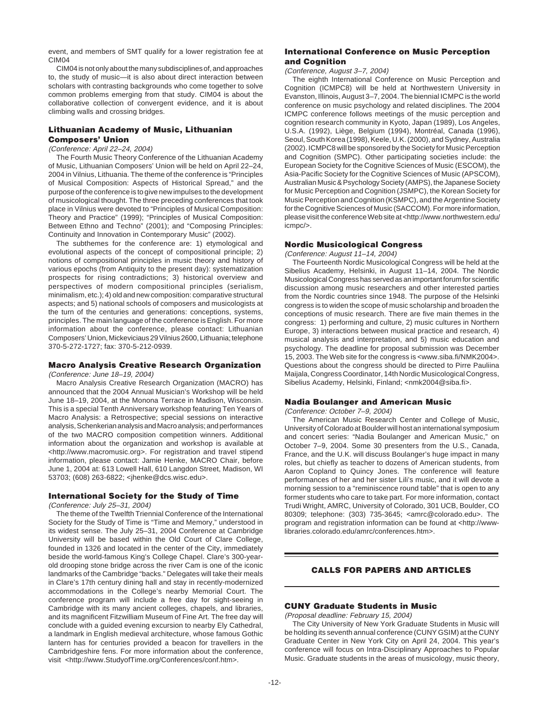event, and members of SMT qualify for a lower registration fee at CIM<sub>04</sub>

CIM04 is not only about the many subdisciplines of, and approaches to, the study of music—it is also about direct interaction between scholars with contrasting backgrounds who come together to solve common problems emerging from that study. CIM04 is about the collaborative collection of convergent evidence, and it is about climbing walls and crossing bridges.

# **Lithuanian Academy of Music, Lithuanian Composers' Union**

### (Conference: April 22–24, 2004)

The Fourth Music Theory Conference of the Lithuanian Academy of Music, Lithuanian Composers' Union will be held on April 22–24, 2004 in Vilnius, Lithuania. The theme of the conference is "Principles of Musical Composition: Aspects of Historical Spread," and the purpose of the conference is to give new impulses to the development of musicological thought. The three preceding conferences that took place in Vilnius were devoted to "Principles of Musical Composition: Theory and Practice" (1999); "Principles of Musical Composition: Between Ethno and Techno" (2001); and "Composing Principles: Continuity and Innovation in Contemporary Music" (2002).

The subthemes for the conference are: 1) etymological and evolutional aspects of the concept of compositional principle; 2) notions of compositional principles in music theory and history of various epochs (from Antiquity to the present day): systematization prospects for rising contradictions; 3) historical overview and perspectives of modern compositional principles (serialism, minimalism, etc.); 4) old and new composition: comparative structural aspects; and 5) national schools of composers and musicologists at the turn of the centuries and generations: conceptions, systems, principles. The main language of the conference is English. For more information about the conference, please contact: Lithuanian Composers' Union, Mickeviciaus 29 Vilnius 2600, Lithuania; telephone 370-5-272-1727; fax: 370-5-212-0939.

### **Macro Analysis Creative Research Organization**

(Conference: June 18–19, 2004)

Macro Analysis Creative Research Organization (MACRO) has announced that the 2004 Annual Musician's Workshop will be held June 18–19, 2004, at the Monona Terrace in Madison, Wisconsin. This is a special Tenth Anniversary workshop featuring Ten Years of Macro Analysis: a Retrospective; special sessions on interactive analysis, Schenkerian analysis and Macro analysis; and performances of the two MACRO composition competition winners. Additional information about the organization and workshop is available at <http://www.macromusic.org>. For registration and travel stipend information, please contact: Jamie Henke, MACRO Chair, before June 1, 2004 at: 613 Lowell Hall, 610 Langdon Street, Madison, WI 53703; (608) 263-6822; <jhenke@dcs.wisc.edu>.

## **International Society for the Study of Time**

(Conference: July 25–31, 2004)

The theme of the Twelfth Triennial Conference of the International Society for the Study of Time is "Time and Memory," understood in its widest sense. The July 25–31, 2004 Conference at Cambridge University will be based within the Old Court of Clare College, founded in 1326 and located in the center of the City, immediately beside the world-famous King's College Chapel. Clare's 300-yearold drooping stone bridge across the river Cam is one of the iconic landmarks of the Cambridge "backs." Delegates will take their meals in Clare's 17th century dining hall and stay in recently-modernized accommodations in the College's nearby Memorial Court. The conference program will include a free day for sight-seeing in Cambridge with its many ancient colleges, chapels, and libraries, and its magnificent Fitzwilliam Museum of Fine Art. The free day will conclude with a guided evening excursion to nearby Ely Cathedral, a landmark in English medieval architecture, whose famous Gothic lantern has for centuries provided a beacon for travellers in the Cambridgeshire fens. For more information about the conference, visit <http://www.StudyofTime.org/Conferences/conf.htm>.

### **International Conference on Music Perception and Cognition**

### (Conference, August 3–7, 2004)

The eighth International Conference on Music Perception and Cognition (ICMPC8) will be held at Northwestern University in Evanston, Illinois, August 3–7, 2004. The biennial ICMPC is the world conference on music psychology and related disciplines. The 2004 ICMPC conference follows meetings of the music perception and cognition research community in Kyoto, Japan (1989), Los Angeles, U.S.A. (1992), Liège, Belgium (1994), Montréal, Canada (1996), Seoul, South Korea (1998), Keele, U.K. (2000), and Sydney, Australia (2002). ICMPC8 will be sponsored by the Society for Music Perception and Cognition (SMPC). Other participating societies include: the European Society for the Cognitive Sciences of Music (ESCOM), the Asia-Pacific Society for the Cognitive Sciences of Music (APSCOM), Australian Music & Psychology Society (AMPS), the Japanese Society for Music Perception and Cognition (JSMPC), the Korean Society for Music Perception and Cognition (KSMPC), and the Argentine Society for the Cognitive Sciences of Music (SACCOM). For more information, please visit the conference Web site at <http://www.northwestern.edu/ icmpc/>.

### **Nordic Musicological Congress**

(Conference: August 11–14, 2004)

The Fourteenth Nordic Musicological Congress will be held at the Sibelius Academy, Helsinki, in August 11–14, 2004. The Nordic Musicological Congress has served as an important forum for scientific discussion among music researchers and other interested parties from the Nordic countries since 1948. The purpose of the Helsinki congress is to widen the scope of music scholarship and broaden the conceptions of music research. There are five main themes in the congress: 1) performing and culture, 2) music cultures in Northern Europe, 3) interactions between musical practice and research, 4) musical analysis and interpretation, and 5) music education and psychology. The deadline for proposal submission was December 15, 2003. The Web site for the congress is <www.siba.fi/NMK2004>. Questions about the congress should be directed to Pirre Pauliina Maijala, Congress Coordinator, 14th Nordic Musicological Congress, Sibelius Academy, Helsinki, Finland; <nmk2004@siba.fi>.

### **Nadia Boulanger and American Music**

(Conference: October 7–9, 2004)

The American Music Research Center and College of Music, University of Colorado at Boulder will host an international symposium and concert series: "Nadia Boulanger and American Music," on October 7–9, 2004. Some 30 presenters from the U.S., Canada, France, and the U.K. will discuss Boulanger's huge impact in many roles, but chiefly as teacher to dozens of American students, from Aaron Copland to Quincy Jones. The conference will feature performances of her and her sister Lili's music, and it will devote a morning session to a "reminiscence round table" that is open to any former students who care to take part. For more information, contact Trudi Wright, AMRC, University of Colorado, 301 UCB, Boulder, CO 80309; telephone: (303) 735-3645; <amrc@colorado.edu>. The program and registration information can be found at <http://wwwlibraries.colorado.edu/amrc/conferences.htm>.

# **CALLS FOR PAPERS AND ARTICLES**

# **CUNY Graduate Students in Music**

(Proposal deadline: February 15, 2004)

The City University of New York Graduate Students in Music will be holding its seventh annual conference (CUNY GSIM) at the CUNY Graduate Center in New York City on April 24, 2004. This year's conference will focus on Intra-Disciplinary Approaches to Popular Music. Graduate students in the areas of musicology, music theory,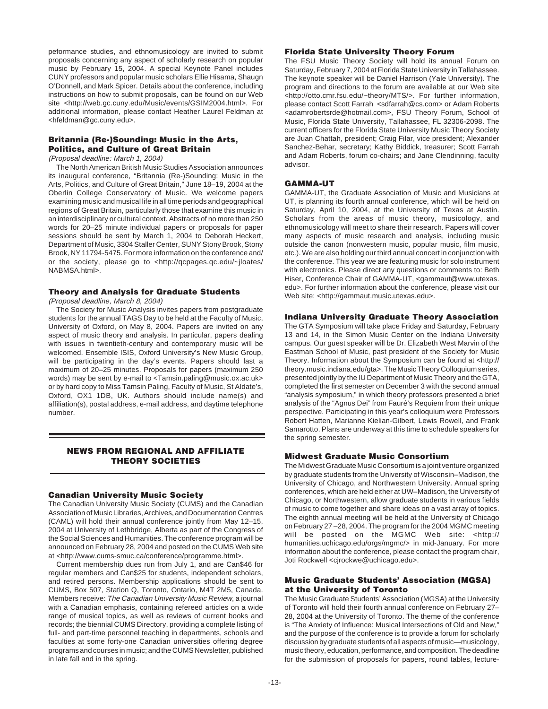peformance studies, and ethnomusicology are invited to submit proposals concerning any aspect of scholarly research on popular music by February 15, 2004. A special Keynote Panel includes CUNY professors and popular music scholars Ellie Hisama, Shaugn O'Donnell, and Mark Spicer. Details about the conference, including instructions on how to submit proposals, can be found on our Web site <http://web.gc.cuny.edu/Music/events/GSIM2004.html>. For additional information, please contact Heather Laurel Feldman at <hfeldman@gc.cuny.edu>.

# **Britannia (Re-)Sounding: Music in the Arts, Politics, and Culture of Great Britain**

(Proposal deadline: March 1, 2004)

The North American British Music Studies Association announces its inaugural conference, "Britannia (Re-)Sounding: Music in the Arts, Politics, and Culture of Great Britain," June 18–19, 2004 at the Oberlin College Conservatory of Music. We welcome papers examining music and musical life in all time periods and geographical regions of Great Britain, particularly those that examine this music in an interdisciplinary or cultural context. Abstracts of no more than 250 words for 20–25 minute individual papers or proposals for paper sessions should be sent by March 1, 2004 to Deborah Heckert, Department of Music, 3304 Staller Center, SUNY Stony Brook, Stony Brook, NY 11794-5475. For more information on the conference and/ or the society, please go to <http://qcpages.qc.edu/~jloates/ NABMSA.html>.

# **Theory and Analysis for Graduate Students**

(Proposal deadline, March 8, 2004)

The Society for Music Analysis invites papers from postgraduate students for the annual TAGS Day to be held at the Faculty of Music, University of Oxford, on May 8, 2004. Papers are invited on any aspect of music theory and analysis. In particular, papers dealing with issues in twentieth-century and contemporary music will be welcomed. Ensemble ISIS, Oxford University's New Music Group, will be participating in the day's events. Papers should last a maximum of 20–25 minutes. Proposals for papers (maximum 250 words) may be sent by e-mail to <Tamsin.paling@music.ox.ac.uk> or by hard copy to Miss Tamsin Paling, Faculty of Music, St Aldate's, Oxford, OX1 1DB, UK. Authors should include name(s) and affiliation(s), postal address, e-mail address, and daytime telephone number.

# **NEWS FROM REGIONAL AND AFFILIATE THEORY SOCIETIES**

### **Canadian University Music Society**

The Canadian University Music Society (CUMS) and the Canadian Association of Music Libraries, Archives, and Documentation Centres (CAML) will hold their annual conference jointly from May 12–15, 2004 at University of Lethbridge, Alberta as part of the Congress of the Social Sciences and Humanities. The conference program will be announced on February 28, 2004 and posted on the CUMS Web site at <http://www.cums-smuc.ca/conference/programme.html>.

Current membership dues run from July 1, and are Can\$46 for regular members and Can\$25 for students, independent scholars, and retired persons. Membership applications should be sent to CUMS, Box 507, Station Q, Toronto, Ontario, M4T 2M5, Canada. Members receive: The Canadian University Music Review, a journal with a Canadian emphasis, containing refereed articles on a wide range of musical topics, as well as reviews of current books and records; the biennial CUMS Directory, providing a complete listing of full- and part-time personnel teaching in departments, schools and faculties at some forty-one Canadian universities offering degree programs and courses in music; and the CUMS Newsletter, published in late fall and in the spring.

### **Florida State University Theory Forum**

The FSU Music Theory Society will hold its annual Forum on Saturday, February 7, 2004 at Florida State University in Tallahassee. The keynote speaker will be Daniel Harrison (Yale University). The program and directions to the forum are available at our Web site <http://otto.cmr.fsu.edu/~theory/MTS/>. For further information, please contact Scott Farrah <sdfarrah@cs.com> or Adam Roberts <adamrobertsrde@hotmail.com>, FSU Theory Forum, School of Music, Florida State University, Tallahassee, FL 32306-2098. The current officers for the Florida State University Music Theory Society are Juan Chattah, president; Craig Filar, vice president; Alexander Sanchez-Behar, secretary; Kathy Biddick, treasurer; Scott Farrah and Adam Roberts, forum co-chairs; and Jane Clendinning, faculty advisor.

# **GAMMA-UT**

GAMMA-UT, the Graduate Association of Music and Musicians at UT, is planning its fourth annual conference, which will be held on Saturday, April 10, 2004, at the University of Texas at Austin. Scholars from the areas of music theory, musicology, and ethnomusicology will meet to share their research. Papers will cover many aspects of music research and analysis, including music outside the canon (nonwestern music, popular music, film music, etc.). We are also holding our third annual concert in conjunction with the conference. This year we are featuring music for solo instrument with electronics. Please direct any questions or comments to: Beth Hiser, Conference Chair of GAMMA-UT, <gammaut@www.utexas. edu>. For further information about the conference, please visit our Web site: <http://gammaut.music.utexas.edu>.

### **Indiana University Graduate Theory Association**

The GTA Symposium will take place Friday and Saturday, February 13 and 14, in the Simon Music Center on the Indiana University campus. Our guest speaker will be Dr. Elizabeth West Marvin of the Eastman School of Music, past president of the Society for Music Theory. Information about the Symposium can be found at <http:// theory.music.indiana.edu/gta>. The Music Theory Colloquium series, presented jointly by the IU Department of Music Theory and the GTA, completed the first semester on December 3 with the second annual "analysis symposium," in which theory professors presented a brief analysis of the "Agnus Dei" from Fauré's Requiem from their unique perspective. Participating in this year's colloquium were Professors Robert Hatten, Marianne Kielian-Gilbert, Lewis Rowell, and Frank Samarotto. Plans are underway at this time to schedule speakers for the spring semester.

# **Midwest Graduate Music Consortium**

The Midwest Graduate Music Consortium is a joint venture organized by graduate students from the University of Wisconsin–Madison, the University of Chicago, and Northwestern University. Annual spring conferences, which are held either at UW–Madison, the University of Chicago, or Northwestern, allow graduate students in various fields of music to come together and share ideas on a vast array of topics. The eighth annual meeting will be held at the University of Chicago on February 27 –28, 2004. The program for the 2004 MGMC meeting will be posted on the MGMC Web site: <http:// humanities.uchicago.edu/orgs/mgmc/> in mid-January. For more information about the conference, please contact the program chair, Joti Rockwell <cjrockwe@uchicago.edu>.

# **Music Graduate Students' Association (MGSA) at the University of Toronto**

The Music Graduate Students' Association (MGSA) at the University of Toronto will hold their fourth annual conference on February 27– 28, 2004 at the University of Toronto. The theme of the conference is "The Anxiety of Influence: Musical Intersections of Old and New," and the purpose of the conference is to provide a forum for scholarly discussion by graduate students of all aspects of music—musicology, music theory, education, performance, and composition. The deadline for the submission of proposals for papers, round tables, lecture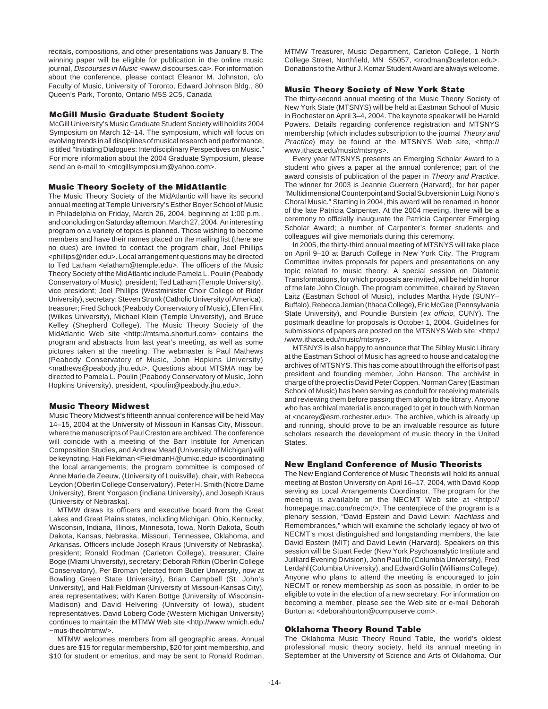recitals, compositions, and other presentations was January 8. The winning paper will be eligible for publication in the online music journal, Discourses in Music <www.discourses.ca>. For information about the conference, please contact Eleanor M. Johnston, c/o Faculty of Music, University of Toronto, Edward Johnson Bldg., 80 Queen's Park, Toronto, Ontario M5S 2C5, Canada

### **McGill Music Graduate Student Society**

McGill University's Music Graduate Student Society will hold its 2004 Symposium on March 12–14. The symposium, which will focus on evolving trends in all disciplines of musical research and performance, is titled "Initiating Dialogues: Interdisciplinary Perspectives on Music." For more information about the 2004 Graduate Symposium, please send an e-mail to <mcgillsymposium@yahoo.com>.

# **Music Theory Society of the MidAtlantic**

The Music Theory Society of the MidAtlantic will have its second annual meeting at Temple University's Esther Boyer School of Music in Philadelphia on Friday, March 26, 2004, beginning at 1:00 p.m., and concluding on Saturday afternoon, March 27, 2004. An interesting program on a variety of topics is planned. Those wishing to become members and have their names placed on the mailing list (there are no dues) are invited to contact the program chair, Joel Phillips <phillips@rider.edu>. Local arrangement questions may be directed to Ted Latham <elatham@temple.edu>. The officers of the Music Theory Society of the MidAtlantic include Pamela L. Poulin (Peabody Conservatory of Music), president; Ted Latham (Temple University), vice president; Joel Phillips (Westminister Choir College of Rider University), secretary; Steven Strunk (Catholic University of America), treasurer; Fred Schock (Peabody Conservatory of Music), Ellen Flint (Wilkes University), Michael Klein (Temple University), and Bruce Kelley (Shepherd College). The Music Theory Society of the MidAtlantic Web site <http://mtsma.shorturl.com> contains the program and abstracts from last year's meeting, as well as some pictures taken at the meeting. The webmaster is Paul Mathews (Peabody Conservatory of Music, John Hopkins University) <mathews@peabody.jhu.edu>. Questions about MTSMA may be directed to Pamela L. Poulin (Peabody Conservatory of Music, John Hopkins University), president, <poulin@peabody.jhu.edu>.

### **Music Theory Midwest**

Music Theory Midwest's fifteenth annual conference will be held May 14–15, 2004 at the University of Missouri in Kansas City, Missouri, where the manuscripts of Paul Creston are archived. The conference will coincide with a meeting of the Barr Institute for American Composition Studies, and Andrew Mead (University of Michigan) will be keynoting. Hali Fieldman <FieldmanH@umkc.edu> is coordinating the local arrangements; the program committee is composed of Anne Marie de Zeeuw, (University of Louisville), chair, with Rebecca Leydon (Oberlin College Conservatory), Peter H. Smith (Notre Dame University), Brent Yorgason (Indiana University), and Joseph Kraus (University of Nebraska).

MTMW draws its officers and executive board from the Great Lakes and Great Plains states, including Michigan, Ohio, Kentucky, Wisconsin, Indiana, Illinois, Minnesota, Iowa, North Dakota, South Dakota, Kansas, Nebraska, Missouri, Tennessee, Oklahoma, and Arkansas. Officers include Joseph Kraus (University of Nebraska), president; Ronald Rodman (Carleton College), treasurer; Claire Boge (Miami University), secretary; Deborah Rifkin (Oberlin College Conservatory), Per Broman (elected from Butler University, now at Bowling Green State University), Brian Campbell (St. John's University), and Hali Fieldman (University of Missouri-Kansas City), area representatives; with Karen Bottge (University of Wisconsin-Madison) and David Helvering (University of Iowa), student representatives. David Loberg Code (Western Michigan University) continues to maintain the MTMW Web site <http://www.wmich.edu/ ~mus-theo/mtmw/>.

MTMW welcomes members from all geographic areas. Annual dues are \$15 for regular membership, \$20 for joint membership, and \$10 for student or emeritus, and may be sent to Ronald Rodman,

MTMW Treasurer, Music Department, Carleton College, 1 North College Street, Northfield, MN 55057, <rrodman@carleton.edu>. Donations to the Arthur J. Komar Student Award are always welcome.

### **Music Theory Society of New York State**

The thirty-second annual meeting of the Music Theory Society of New York State (MTSNYS) will be held at Eastman School of Music in Rochester on April 3–4, 2004. The keynote speaker will be Harold Powers. Details regarding conference registration and MTSNYS membership (which includes subscription to the journal Theory and Practice) may be found at the MTSNYS Web site, <http:// www.ithaca.edu/music/mtsnys>.

Every year MTSNYS presents an Emerging Scholar Award to a student who gives a paper at the annual conference; part of the award consists of publication of the paper in Theory and Practice. The winner for 2003 is Jeannie Guerrero (Harvard), for her paper "Multidimensional Counterpoint and Social Subversion in Luigi Nono's Choral Music." Starting in 2004, this award will be renamed in honor of the late Patricia Carpenter. At the 2004 meeting, there will be a ceremony to officially inaugurate the Patricia Carpenter Emerging Scholar Award; a number of Carpenter's former students and colleagues will give memorials during this ceremony.

In 2005, the thirty-third annual meeting of MTSNYS will take place on April 9–10 at Baruch College in New York City. The Program Committee invites proposals for papers and presentations on any topic related to music theory. A special session on Diatonic Transformations, for which proposals are invited, will be held in honor of the late John Clough. The program committee, chaired by Steven Laitz (Eastman School of Music), includes Martha Hyde (SUNY– Buffalo), Rebecca Jemian (Ithaca College), Eric McGee (Pennsylvania State University), and Poundie Burstein (ex officio, CUNY). The postmark deadline for proposals is October 1, 2004. Guidelines for submissions of papers are posted on the MTSNYS Web site: <http:/ /www.ithaca.edu/music/mtsnys>.

MTSNYS is also happy to announce that The Sibley Music Library at the Eastman School of Music has agreed to house and catalog the archives of MTSNYS. This has come about through the efforts of past president and founding member, John Hanson. The archivist in charge of the project is David Peter Coppen. Norman Carey (Eastman School of Music) has been serving as conduit for receiving materials and reviewing them before passing them along to the library. Anyone who has archival material is encouraged to get in touch with Norman at <ncarey@esm.rochester.edu>. The archive, which is already up and running, should prove to be an invaluable resource as future scholars research the development of music theory in the United States.

### **New England Conference of Music Theorists**

The New England Conference of Music Theorists will hold its annual meeting at Boston University on April 16–17, 2004, with David Kopp serving as Local Arrangements Coordinator. The program for the meeting is available on the NECMT Web site at <http:// homepage.mac.com/necmt/>. The centerpiece of the program is a plenary session, "David Epstein and David Lewin: Nachlass and Remembrances," which will examine the scholarly legacy of two of NECMT's most distinguished and longstanding members, the late David Epstein (MIT) and David Lewin (Harvard). Speakers on this session will be Stuart Feder (New York Psychoanalytic Institute and Juilliard Evening Division), John Paul Ito (Columbia University), Fred Lerdahl (Columbia University), and Edward Gollin (Williams College). Anyone who plans to attend the meeting is encouraged to join NECMT or renew membership as soon as possible, in order to be eligible to vote in the election of a new secretary. For information on becoming a member, please see the Web site or e-mail Deborah Burton at <deborahburton@compuserve.com>.

### **Oklahoma Theory Round Table**

The Oklahoma Music Theory Round Table, the world's oldest professional music theory society, held its annual meeting in September at the University of Science and Arts of Oklahoma. Our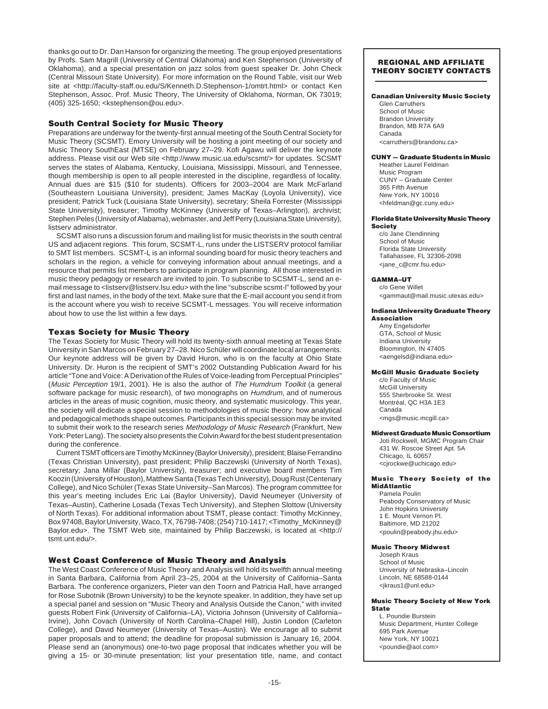thanks go out to Dr. Dan Hanson for organizing the meeting. The group enjoyed presentations by Profs. Sam Magrill (University of Central Oklahoma) and Ken Stephenson (University of Oklahoma), and a special presentation on jazz solos from guest speaker Dr. John Check (Central Missouri State University). For more information on the Round Table, visit our Web site at <http://faculty-staff.ou.edu/S/Kenneth.D.Stephenson-1/omtrt.html> or contact Ken Stephenson, Assoc. Prof. Music Theory, The University of Oklahoma, Norman, OK 73019; (405) 325-1650; <kstephenson@ou.edu>.

# **South Central Society for Music Theory**

Preparations are underway for the twenty-first annual meeting of the South Central Society for Music Theory (SCSMT). Emory University will be hosting a joint meeting of our society and Music Theory SouthEast (MTSE) on February 27–29. Kofi Agawu will deliver the keynote address. Please visit our Web site <http://www.music.ua.edu/scsmt/> for updates. SCSMT serves the states of Alabama, Kentucky, Louisiana, Mississippi, Missouri, and Tennessee, though membership is open to all people interested in the discipline, regardless of locality. Annual dues are \$15 (\$10 for students). Officers for 2003–2004 are Mark McFarland (Southeastern Louisiana University), president; James MacKay (Loyola University), vice president; Patrick Tuck (Louisiana State University), secretary; Sheila Forrester (Mississippi State University), treasurer; Timothy McKinney (University of Texas–Arlington), archivist; Stephen Peles (University of Alabama), webmaster, and Jeff Perry (Louisiana State University), listserv administrator.

SCSMT also runs a discussion forum and mailing list for music theorists in the south central US and adjacent regions. This forum, SCSMT-L, runs under the LISTSERV protocol familiar to SMT list members. SCSMT-L is an informal sounding board for music theory teachers and scholars in the region, a vehicle for conveying information about annual meetings, and a resource that permits list members to participate in program planning. All those interested in music theory pedagogy or research are invited to join. To subscribe to SCSMT-L, send an email message to <listserv@listserv.lsu.edu> with the line "subscribe scsmt-l" followed by your first and last names, in the body of the text. Make sure that the E-mail account you send it from is the account where you wish to receive SCSMT-L messages. You will receive information about how to use the list within a few days.

# **Texas Society for Music Theory**

The Texas Society for Music Theory will hold its twenty-sixth annual meeting at Texas State University in San Marcos on February 27–28. Nico Schüler will coordinate local arrangements. Our keynote address will be given by David Huron, who is on the faculty at Ohio State University. Dr. Huron is the recipient of SMT's 2002 Outstanding Publication Award for his article "Tone and Voice: A Derivation of the Rules of Voice-leading from Perceptual Principles" (Music Perception 19/1, 2001). He is also the author of The Humdrum Toolkit (a general software package for music research), of two monographs on Humdrum, and of numerous articles in the areas of music cognition, music theory, and systematic musicology. This year, the society will dedicate a special session to methodologies of music theory: how analytical and pedagogical methods shape outcomes. Participants in this special session may be invited to submit their work to the research series Methodology of Music Research (Frankfurt, New York: Peter Lang). The society also presents the Colvin Award for the best student presentation during the conference.

Current TSMT officers are Timothy McKinney (Baylor University), president; Blaise Ferrandino (Texas Christian University), past president; Philip Baczewski (University of North Texas), secretary; Jana Millar (Baylor University), treasurer; and executive board members Tim Koozin (University of Houston), Matthew Santa (Texas Tech University), Doug Rust (Centenary College), and Nico Schüler (Texas State University–San Marcos). The program committee for this year's meeting includes Eric Lai (Baylor University), David Neumeyer (University of Texas–Austin), Catherine Losada (Texas Tech University), and Stephen Slottow (University of North Texas). For additional information about TSMT, please contact: Timothy McKinney, Box 97408, Baylor University, Waco, TX, 76798-7408; (254) 710-1417; <Timothy\_McKinney@ Baylor.edu>. The TSMT Web site, maintained by Philip Baczewski, is located at <http:// tsmt.unt.edu/>.

# **West Coast Conference of Music Theory and Analysis**

The West Coast Conference of Music Theory and Analysis will hold its twelfth annual meeting in Santa Barbara, California from April 23–25, 2004 at the University of California–Santa Barbara. The conference organizers, Pieter van den Toorn and Patricia Hall, have arranged for Rose Subotnik (Brown University) to be the keynote speaker. In addition, they have set up a special panel and session on "Music Theory and Analysis Outside the Canon," with invited guests Robert Fink (University of California–LA), Victoria Johnson (University of California– Irvine), John Covach (University of North Carolina–Chapel Hill), Justin London (Carleton College), and David Neumeyer (University of Texas–Austin). We encourage all to submit paper proposals and to attend; the deadline for proposal submission is January 16, 2004. Please send an (anonymous) one-to-two page proposal that indicates whether you will be giving a 15- or 30-minute presentation; list your presentation title, name, and contact

### **REGIONAL AND AFFILIATE THEORY SOCIETY CONTACTS**

### **Canadian University Music Society**

Glen Carruthers School of Music Brandon University Brandon, MB R7A 6A9 Canada <carruthers@brandonu.ca>

### **CUNY — Graduate Students in Music**

Heather Laurel Feldman Music Program CUNY – Graduate Center 365 Fifth Avenue New York, NY 10016 <hfeldman@gc.cuny.edu>

### **Florida State University Music Theory Society**

c/o Jane Clendinning School of Music Florida State University Tallahassee, FL 32306-2098 <jane\_c@cmr.fsu.edu>

### **GAMMA–UT** c/o Gene Willet

<gammaut@mail.music.utexas.edu>

### **Indiana University Graduate Theory Association**

Amy Engelsdorfer GTA, School of Music Indiana University Bloomington, IN 47405 <aengelsd@indiana.edu>

### **McGill Music Graduate Society**

c/o Faculty of Music McGill University 555 Sherbrooke St. West Montréal, QC H3A 1E3 Canada <mgs@music.mcgill.ca>

### **Midwest Graduate Music Consortium**

Joti Rockwell, MGMC Program Chair 431 W. Roscoe Street Apt. 5A Chicago, IL 60657 <cjrockwe@uchicago.edu>

### **Music Theory Society of the MidAtlantic**

Pamela Poulin Peabody Conservatory of Music John Hopkins University 1 E. Mount Vernon Pl. Baltimore, MD 21202 <poulin@peabody.jhu.edu>

### **Music Theory Midwest**

Joseph Kraus School of Music University of Nebraska–Lincoln Lincoln, NE 68588-0144 <jkraus1@unl.edu>

### **Music Theory Society of New York State**

L. Poundie Burstein Music Department, Hunter College 695 Park Avenue New York, NY 10021 <poundie@aol.com>